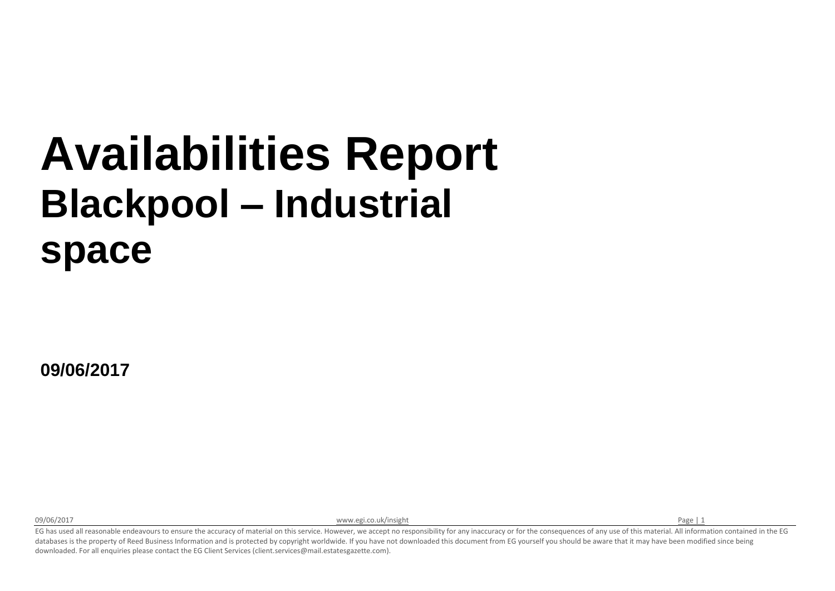## **Availabilities Report Blackpool – Industrial space**

**09/06/2017**

09/06/2017 **[www.egi.co.uk/insight](http://www.egi.co.uk/insight) Page | 1 www.egi.co.uk/insight** Page | 1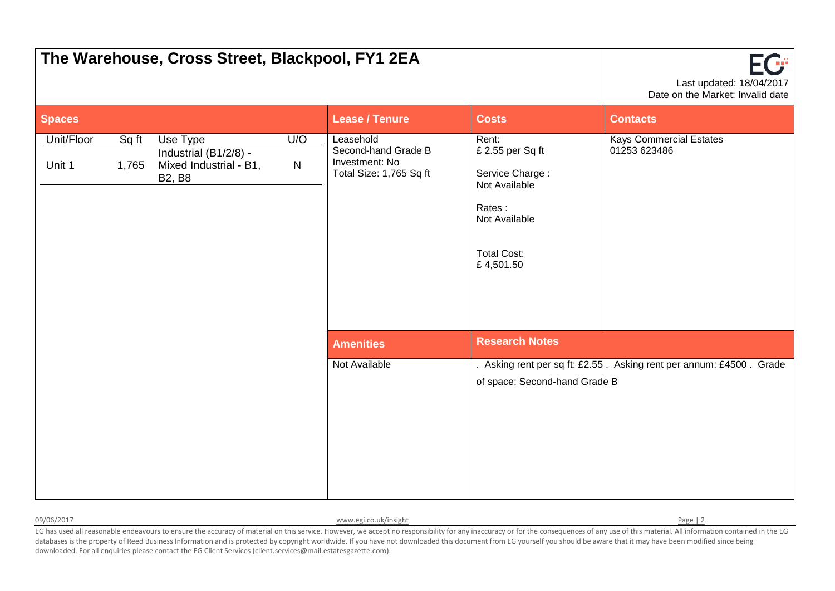| The Warehouse, Cross Street, Blackpool, FY1 2EA |                | Ωÿ<br>Last updated: 18/04/2017<br>Date on the Market: Invalid date           |                     |                                                                               |                                                                                                                             |                                                                     |
|-------------------------------------------------|----------------|------------------------------------------------------------------------------|---------------------|-------------------------------------------------------------------------------|-----------------------------------------------------------------------------------------------------------------------------|---------------------------------------------------------------------|
| <b>Spaces</b>                                   |                |                                                                              |                     | <b>Lease / Tenure</b>                                                         | <b>Costs</b>                                                                                                                | <b>Contacts</b>                                                     |
| Unit/Floor<br>Unit 1                            | Sq ft<br>1,765 | Use Type<br>Industrial (B1/2/8) -<br>Mixed Industrial - B1,<br><b>B2, B8</b> | U/O<br>$\mathsf{N}$ | Leasehold<br>Second-hand Grade B<br>Investment: No<br>Total Size: 1,765 Sq ft | Rent:<br>£ 2.55 per Sq ft<br>Service Charge:<br>Not Available<br>Rates:<br>Not Available<br><b>Total Cost:</b><br>£4,501.50 | <b>Kays Commercial Estates</b><br>01253 623486                      |
|                                                 |                |                                                                              |                     | <b>Amenities</b>                                                              | <b>Research Notes</b>                                                                                                       |                                                                     |
|                                                 |                |                                                                              |                     | Not Available                                                                 | of space: Second-hand Grade B                                                                                               | . Asking rent per sq ft: £2.55. Asking rent per annum: £4500. Grade |

| 09/06/2017 |  |  |  |  |
|------------|--|--|--|--|
|------------|--|--|--|--|

[www.egi.co.uk/insight](http://www.egi.co.uk/insight) Page | 2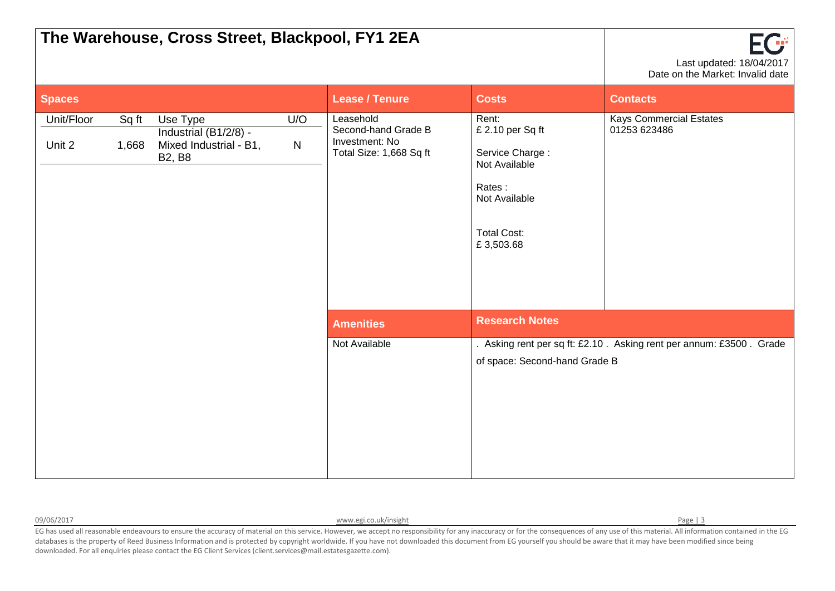| The Warehouse, Cross Street, Blackpool, FY1 2EA |                | FG:<br>Last updated: 18/04/2017<br>Date on the Market: Invalid date          |                  |                                                                               |                                                                                                                             |                                                                     |
|-------------------------------------------------|----------------|------------------------------------------------------------------------------|------------------|-------------------------------------------------------------------------------|-----------------------------------------------------------------------------------------------------------------------------|---------------------------------------------------------------------|
| <b>Spaces</b>                                   |                |                                                                              |                  | <b>Lease / Tenure</b>                                                         | <b>Costs</b>                                                                                                                | <b>Contacts</b>                                                     |
| Unit/Floor<br>Unit 2                            | Sq ft<br>1,668 | Use Type<br>Industrial (B1/2/8) -<br>Mixed Industrial - B1,<br><b>B2, B8</b> | U/O<br>${\sf N}$ | Leasehold<br>Second-hand Grade B<br>Investment: No<br>Total Size: 1,668 Sq ft | Rent:<br>£ 2.10 per Sq ft<br>Service Charge:<br>Not Available<br>Rates:<br>Not Available<br><b>Total Cost:</b><br>£3,503.68 | <b>Kays Commercial Estates</b><br>01253 623486                      |
|                                                 |                |                                                                              |                  | <b>Amenities</b>                                                              | <b>Research Notes</b>                                                                                                       |                                                                     |
|                                                 |                |                                                                              |                  | Not Available                                                                 | of space: Second-hand Grade B                                                                                               | . Asking rent per sq ft: £2.10. Asking rent per annum: £3500. Grade |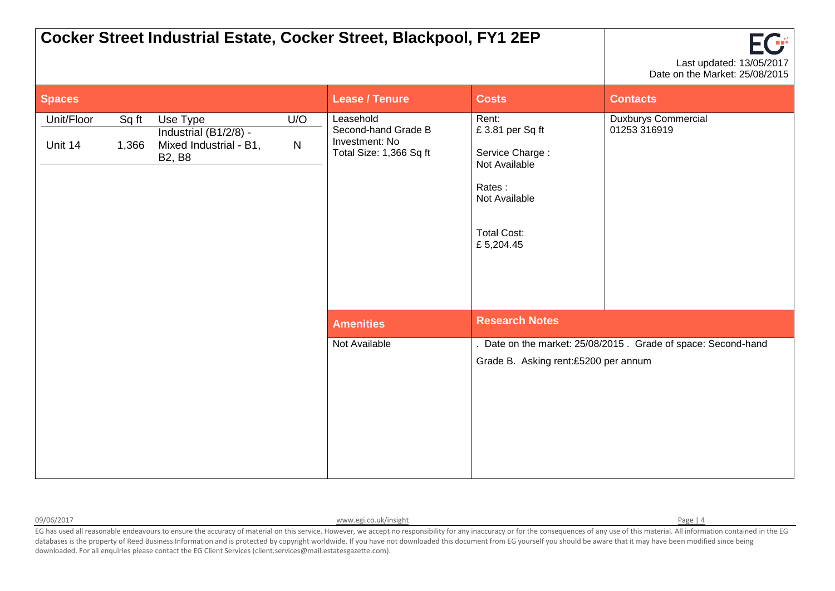|                       |                |                                                                              |          | Cocker Street Industrial Estate, Cocker Street, Blackpool, FY1 2EP            |                                                                                                                            | Last updated: 13/05/2017<br>Date on the Market: 25/08/2015  |
|-----------------------|----------------|------------------------------------------------------------------------------|----------|-------------------------------------------------------------------------------|----------------------------------------------------------------------------------------------------------------------------|-------------------------------------------------------------|
| <b>Spaces</b>         |                |                                                                              |          | <b>Lease / Tenure</b>                                                         | <b>Costs</b>                                                                                                               | <b>Contacts</b>                                             |
| Unit/Floor<br>Unit 14 | Sq ft<br>1,366 | Use Type<br>Industrial (B1/2/8) -<br>Mixed Industrial - B1,<br><b>B2, B8</b> | U/O<br>N | Leasehold<br>Second-hand Grade B<br>Investment: No<br>Total Size: 1,366 Sq ft | Rent:<br>£3.81 per Sq ft<br>Service Charge:<br>Not Available<br>Rates:<br>Not Available<br><b>Total Cost:</b><br>£5,204.45 | <b>Duxburys Commercial</b><br>01253 316919                  |
|                       |                |                                                                              |          | <b>Amenities</b>                                                              | <b>Research Notes</b>                                                                                                      |                                                             |
|                       |                |                                                                              |          | Not Available                                                                 | Grade B. Asking rent:£5200 per annum                                                                                       | Date on the market: 25/08/2015. Grade of space: Second-hand |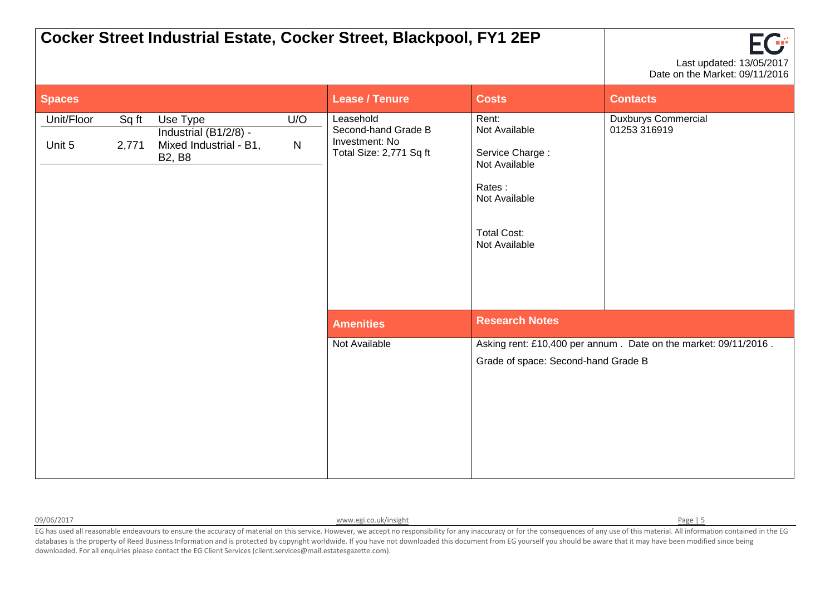|                      |                |                                                                              |                     | Cocker Street Industrial Estate, Cocker Street, Blackpool, FY1 2EP            |                                                                                                                              | Πř<br>Last updated: 13/05/2017<br>Date on the Market: 09/11/2016 |
|----------------------|----------------|------------------------------------------------------------------------------|---------------------|-------------------------------------------------------------------------------|------------------------------------------------------------------------------------------------------------------------------|------------------------------------------------------------------|
| <b>Spaces</b>        |                |                                                                              |                     | <b>Lease / Tenure</b>                                                         | <b>Costs</b>                                                                                                                 | <b>Contacts</b>                                                  |
| Unit/Floor<br>Unit 5 | Sq ft<br>2,771 | Use Type<br>Industrial (B1/2/8) -<br>Mixed Industrial - B1,<br><b>B2, B8</b> | U/O<br>$\mathsf{N}$ | Leasehold<br>Second-hand Grade B<br>Investment: No<br>Total Size: 2,771 Sq ft | Rent:<br>Not Available<br>Service Charge:<br>Not Available<br>Rates:<br>Not Available<br><b>Total Cost:</b><br>Not Available | <b>Duxburys Commercial</b><br>01253 316919                       |
|                      |                |                                                                              |                     | <b>Amenities</b>                                                              | <b>Research Notes</b>                                                                                                        |                                                                  |
|                      |                |                                                                              |                     | Not Available                                                                 | Grade of space: Second-hand Grade B                                                                                          | Asking rent: £10,400 per annum. Date on the market: 09/11/2016.  |

09/06/2017 **Discrete Page | 5** WWW.egi.co.uk/insight Page | 5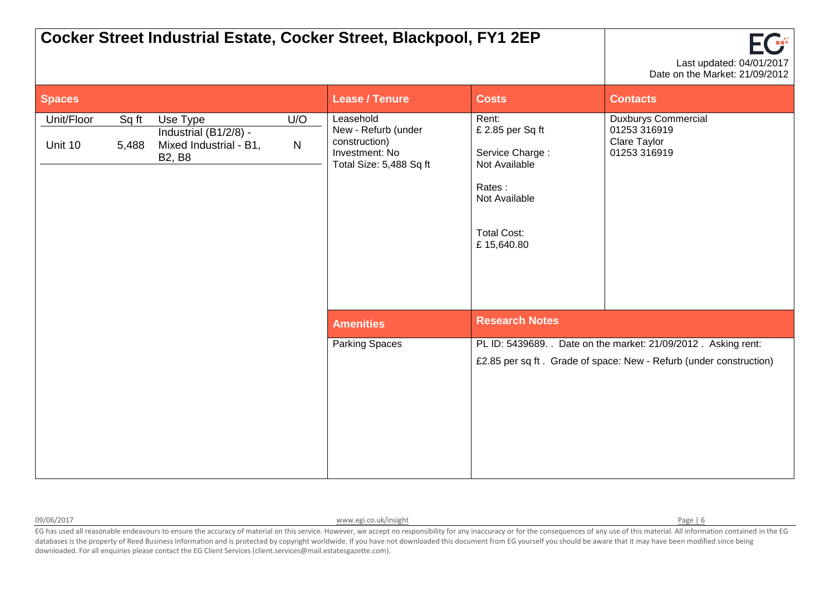|                       |                |                                                                              |                  | Cocker Street Industrial Estate, Cocker Street, Blackpool, FY1 2EP                             |                                                                                                                              | Last updated: 04/01/2017<br>Date on the Market: 21/09/2012                                                                           |
|-----------------------|----------------|------------------------------------------------------------------------------|------------------|------------------------------------------------------------------------------------------------|------------------------------------------------------------------------------------------------------------------------------|--------------------------------------------------------------------------------------------------------------------------------------|
| <b>Spaces</b>         |                |                                                                              |                  | <b>Lease / Tenure</b>                                                                          | <b>Costs</b>                                                                                                                 | <b>Contacts</b>                                                                                                                      |
| Unit/Floor<br>Unit 10 | Sq ft<br>5,488 | Use Type<br>Industrial (B1/2/8) -<br>Mixed Industrial - B1,<br><b>B2, B8</b> | U/O<br>${\sf N}$ | Leasehold<br>New - Refurb (under<br>construction)<br>Investment: No<br>Total Size: 5,488 Sq ft | Rent:<br>£ 2.85 per Sq ft<br>Service Charge:<br>Not Available<br>Rates:<br>Not Available<br><b>Total Cost:</b><br>£15,640.80 | <b>Duxburys Commercial</b><br>01253 316919<br>Clare Taylor<br>01253 316919                                                           |
|                       |                |                                                                              |                  | <b>Amenities</b>                                                                               | <b>Research Notes</b>                                                                                                        |                                                                                                                                      |
|                       |                |                                                                              |                  | <b>Parking Spaces</b>                                                                          |                                                                                                                              | PL ID: 5439689. . Date on the market: 21/09/2012. Asking rent:<br>£2.85 per sq ft. Grade of space: New - Refurb (under construction) |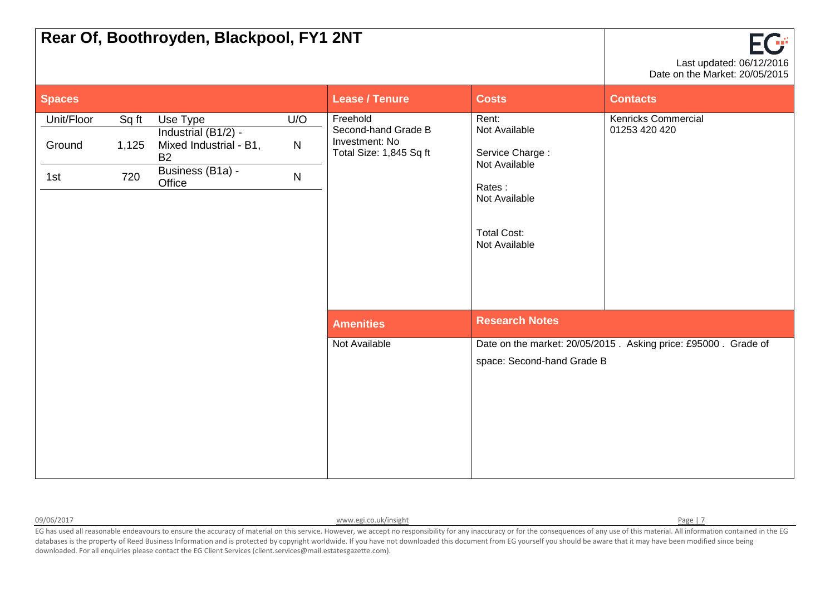| Rear Of, Boothroyden, Blackpool, FY1 2NT |                       | FG<br>Last updated: 06/12/2016<br>Date on the Market: 20/05/2015                                     |                                  |                                                                              |                                                                                                                              |                                                                |
|------------------------------------------|-----------------------|------------------------------------------------------------------------------------------------------|----------------------------------|------------------------------------------------------------------------------|------------------------------------------------------------------------------------------------------------------------------|----------------------------------------------------------------|
| <b>Spaces</b>                            |                       |                                                                                                      |                                  | <b>Lease / Tenure</b>                                                        | <b>Costs</b>                                                                                                                 | <b>Contacts</b>                                                |
| Unit/Floor<br>Ground<br>1st              | Sq ft<br>1,125<br>720 | Use Type<br>Industrial (B1/2) -<br>Mixed Industrial - B1,<br><b>B2</b><br>Business (B1a) -<br>Office | U/O<br>$\mathsf{N}$<br>${\sf N}$ | Freehold<br>Second-hand Grade B<br>Investment: No<br>Total Size: 1,845 Sq ft | Rent:<br>Not Available<br>Service Charge:<br>Not Available<br>Rates:<br>Not Available<br><b>Total Cost:</b><br>Not Available | <b>Kenricks Commercial</b><br>01253 420 420                    |
|                                          |                       |                                                                                                      |                                  | <b>Amenities</b>                                                             | <b>Research Notes</b>                                                                                                        |                                                                |
|                                          |                       |                                                                                                      |                                  | Not Available                                                                | space: Second-hand Grade B                                                                                                   | Date on the market: 20/05/2015. Asking price: £95000. Grade of |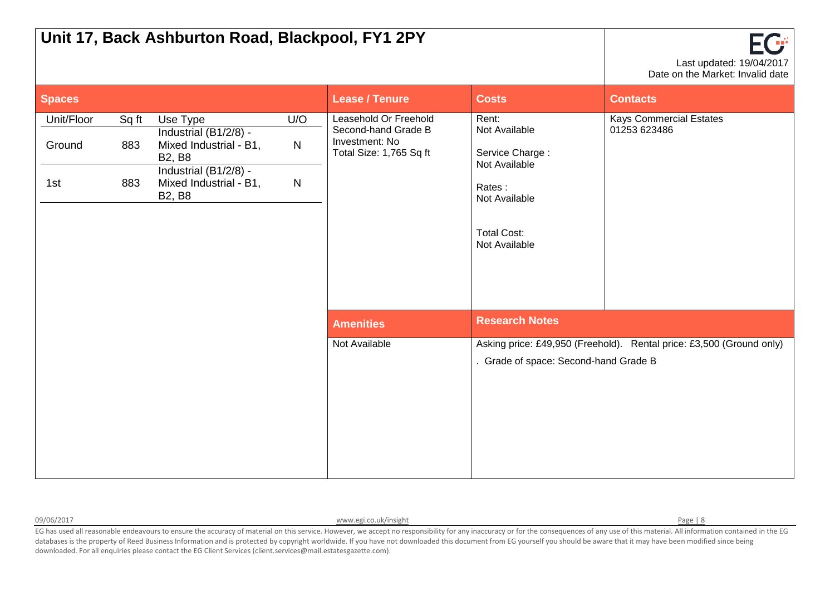| Unit 17, Back Ashburton Road, Blackpool, FY1 2PY |                     | $\mathsf{F}(\mathcal{F}% )=\mathsf{H}(\mathcal{F}_{\alpha}^{\ast}\mathcal{F}_{\alpha}^{\ast})$ , $\mathsf{H}(\mathcal{F}_{\alpha}^{\ast})$<br>Last updated: 19/04/2017<br>Date on the Market: Invalid date |                                     |                                                                                           |                                                                                                                              |                                                                      |
|--------------------------------------------------|---------------------|------------------------------------------------------------------------------------------------------------------------------------------------------------------------------------------------------------|-------------------------------------|-------------------------------------------------------------------------------------------|------------------------------------------------------------------------------------------------------------------------------|----------------------------------------------------------------------|
| <b>Spaces</b>                                    |                     |                                                                                                                                                                                                            |                                     | <b>Lease / Tenure</b>                                                                     | <b>Costs</b>                                                                                                                 | <b>Contacts</b>                                                      |
| Unit/Floor<br>Ground<br>1st                      | Sq ft<br>883<br>883 | Use Type<br>Industrial (B1/2/8) -<br>Mixed Industrial - B1,<br><b>B2, B8</b><br>Industrial (B1/2/8) -<br>Mixed Industrial - B1,<br><b>B2, B8</b>                                                           | U/O<br>$\mathsf{N}$<br>$\mathsf{N}$ | Leasehold Or Freehold<br>Second-hand Grade B<br>Investment: No<br>Total Size: 1,765 Sq ft | Rent:<br>Not Available<br>Service Charge:<br>Not Available<br>Rates:<br>Not Available<br><b>Total Cost:</b><br>Not Available | <b>Kays Commercial Estates</b><br>01253 623486                       |
|                                                  |                     |                                                                                                                                                                                                            |                                     | <b>Amenities</b>                                                                          | <b>Research Notes</b>                                                                                                        |                                                                      |
|                                                  |                     |                                                                                                                                                                                                            |                                     | Not Available                                                                             | . Grade of space: Second-hand Grade B                                                                                        | Asking price: £49,950 (Freehold). Rental price: £3,500 (Ground only) |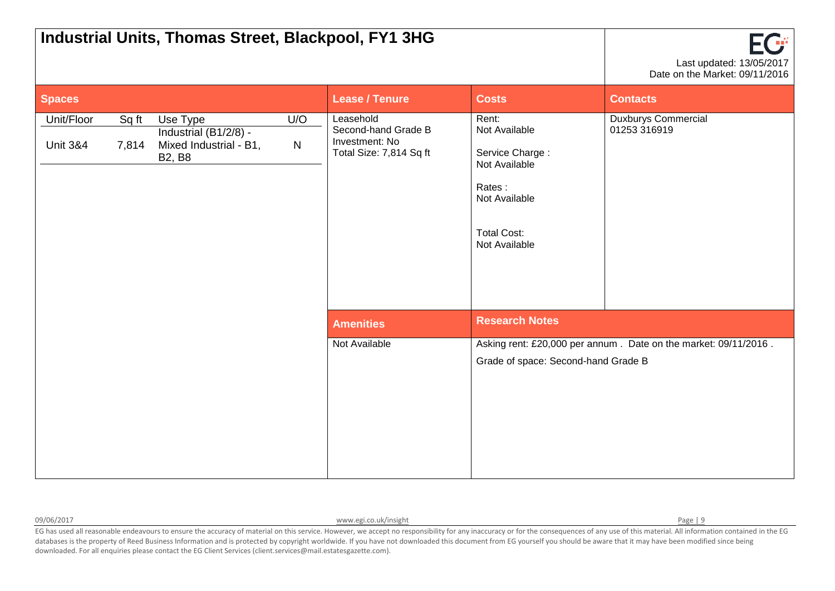| Industrial Units, Thomas Street, Blackpool, FY1 3HG |                | EG<br>Last updated: 13/05/2017<br>Date on the Market: 09/11/2016             |                  |                                                                               |                                                                                                                              |                                                                 |
|-----------------------------------------------------|----------------|------------------------------------------------------------------------------|------------------|-------------------------------------------------------------------------------|------------------------------------------------------------------------------------------------------------------------------|-----------------------------------------------------------------|
| <b>Spaces</b>                                       |                |                                                                              |                  | <b>Lease / Tenure</b>                                                         | <b>Costs</b>                                                                                                                 | <b>Contacts</b>                                                 |
| Unit/Floor<br><b>Unit 3&amp;4</b>                   | Sq ft<br>7,814 | Use Type<br>Industrial (B1/2/8) -<br>Mixed Industrial - B1,<br><b>B2, B8</b> | U/O<br>${\sf N}$ | Leasehold<br>Second-hand Grade B<br>Investment: No<br>Total Size: 7,814 Sq ft | Rent:<br>Not Available<br>Service Charge:<br>Not Available<br>Rates:<br>Not Available<br><b>Total Cost:</b><br>Not Available | <b>Duxburys Commercial</b><br>01253 316919                      |
|                                                     |                |                                                                              |                  | <b>Amenities</b>                                                              | <b>Research Notes</b>                                                                                                        |                                                                 |
|                                                     |                |                                                                              |                  | Not Available                                                                 | Grade of space: Second-hand Grade B                                                                                          | Asking rent: £20,000 per annum. Date on the market: 09/11/2016. |

09/06/2017 Page | 9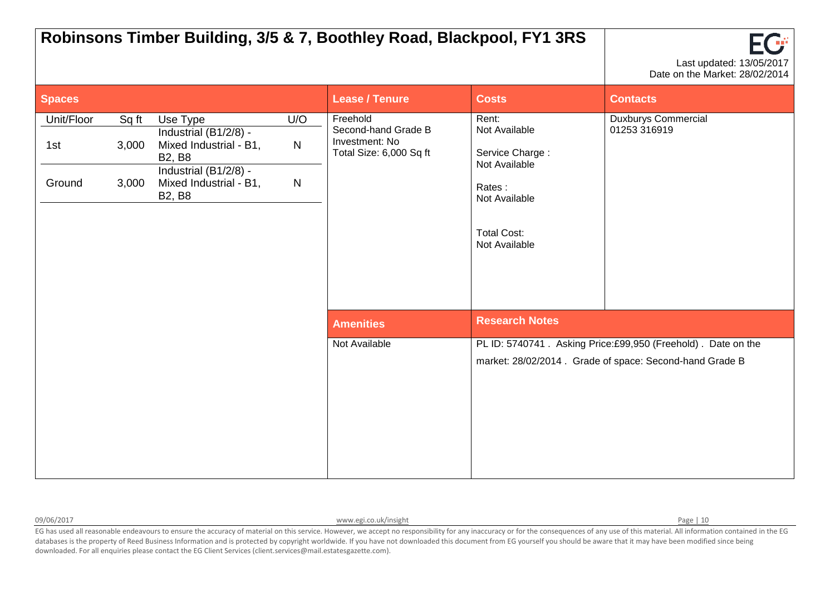|                             |                         |                                                                                                                                                  |                                     |                                                                              | Robinsons Timber Building, 3/5 & 7, Boothley Road, Blackpool, FY1 3RS                                                        | Œ<br>Last updated: 13/05/2017<br>Date on the Market: 28/02/2014                                                          |
|-----------------------------|-------------------------|--------------------------------------------------------------------------------------------------------------------------------------------------|-------------------------------------|------------------------------------------------------------------------------|------------------------------------------------------------------------------------------------------------------------------|--------------------------------------------------------------------------------------------------------------------------|
| <b>Spaces</b>               |                         |                                                                                                                                                  |                                     | <b>Lease / Tenure</b>                                                        | <b>Costs</b>                                                                                                                 | <b>Contacts</b>                                                                                                          |
| Unit/Floor<br>1st<br>Ground | Sq ft<br>3,000<br>3,000 | Use Type<br>Industrial (B1/2/8) -<br>Mixed Industrial - B1,<br><b>B2, B8</b><br>Industrial (B1/2/8) -<br>Mixed Industrial - B1,<br><b>B2, B8</b> | U/O<br>$\mathsf{N}$<br>$\mathsf{N}$ | Freehold<br>Second-hand Grade B<br>Investment: No<br>Total Size: 6,000 Sq ft | Rent:<br>Not Available<br>Service Charge:<br>Not Available<br>Rates:<br>Not Available<br><b>Total Cost:</b><br>Not Available | Duxburys Commercial<br>01253 316919                                                                                      |
|                             |                         |                                                                                                                                                  |                                     | <b>Amenities</b>                                                             | <b>Research Notes</b>                                                                                                        |                                                                                                                          |
|                             |                         |                                                                                                                                                  |                                     | Not Available                                                                |                                                                                                                              | PL ID: 5740741. Asking Price:£99,950 (Freehold). Date on the<br>market: 28/02/2014 . Grade of space: Second-hand Grade B |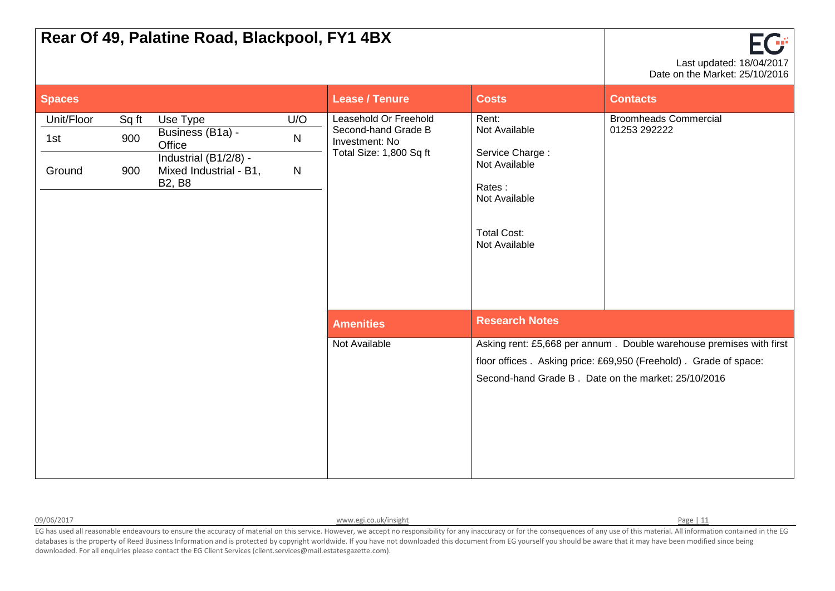| Rear Of 49, Palatine Road, Blackpool, FY1 4BX |                     | Last updated: 18/04/2017<br>Date on the Market: 25/10/2016                                                 |                               |                                                                                           |                                                                                                                              |                                                                                                                                         |
|-----------------------------------------------|---------------------|------------------------------------------------------------------------------------------------------------|-------------------------------|-------------------------------------------------------------------------------------------|------------------------------------------------------------------------------------------------------------------------------|-----------------------------------------------------------------------------------------------------------------------------------------|
| <b>Spaces</b>                                 |                     |                                                                                                            |                               | <b>Lease / Tenure</b>                                                                     | <b>Costs</b>                                                                                                                 | <b>Contacts</b>                                                                                                                         |
| Unit/Floor<br>1st<br>Ground                   | Sq ft<br>900<br>900 | Use Type<br>Business (B1a) -<br>Office<br>Industrial (B1/2/8) -<br>Mixed Industrial - B1,<br><b>B2, B8</b> | U/O<br>${\sf N}$<br>${\sf N}$ | Leasehold Or Freehold<br>Second-hand Grade B<br>Investment: No<br>Total Size: 1,800 Sq ft | Rent:<br>Not Available<br>Service Charge:<br>Not Available<br>Rates:<br>Not Available<br><b>Total Cost:</b><br>Not Available | <b>Broomheads Commercial</b><br>01253 292222                                                                                            |
|                                               |                     |                                                                                                            |                               | <b>Amenities</b>                                                                          | <b>Research Notes</b>                                                                                                        |                                                                                                                                         |
|                                               |                     |                                                                                                            |                               | Not Available                                                                             | Second-hand Grade B. Date on the market: 25/10/2016                                                                          | Asking rent: £5,668 per annum. Double warehouse premises with first<br>floor offices. Asking price: £69,950 (Freehold). Grade of space: |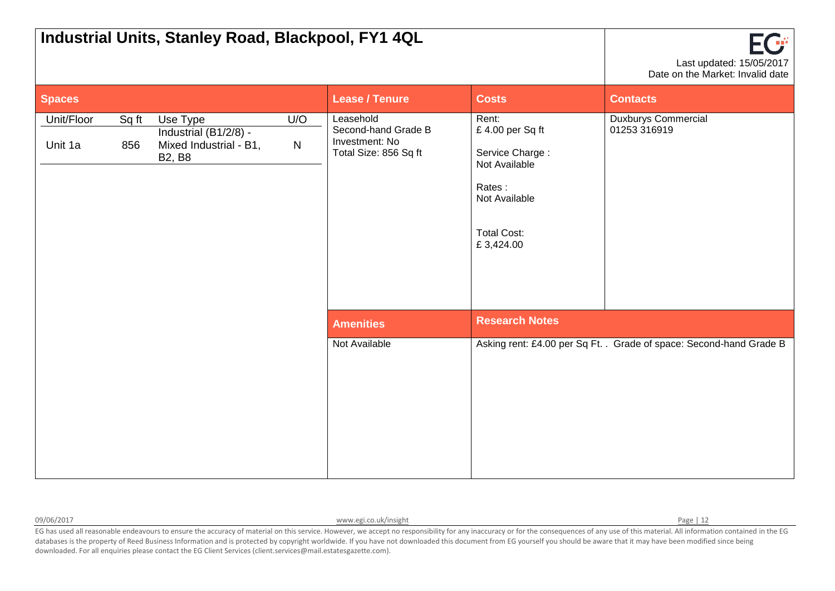| Industrial Units, Stanley Road, Blackpool, FY1 4QL |              | FG<br>Last updated: 15/05/2017<br>Date on the Market: Invalid date           |                  |                                                                             |                                                                                                                            |                                                                     |
|----------------------------------------------------|--------------|------------------------------------------------------------------------------|------------------|-----------------------------------------------------------------------------|----------------------------------------------------------------------------------------------------------------------------|---------------------------------------------------------------------|
| <b>Spaces</b>                                      |              |                                                                              |                  | <b>Lease / Tenure</b>                                                       | <b>Costs</b>                                                                                                               | <b>Contacts</b>                                                     |
| Unit/Floor<br>Unit 1a                              | Sq ft<br>856 | Use Type<br>Industrial (B1/2/8) -<br>Mixed Industrial - B1,<br><b>B2, B8</b> | U/O<br>${\sf N}$ | Leasehold<br>Second-hand Grade B<br>Investment: No<br>Total Size: 856 Sq ft | Rent:<br>£4.00 per Sq ft<br>Service Charge:<br>Not Available<br>Rates:<br>Not Available<br><b>Total Cost:</b><br>£3,424.00 | <b>Duxburys Commercial</b><br>01253 316919                          |
|                                                    |              |                                                                              |                  | <b>Amenities</b>                                                            | <b>Research Notes</b>                                                                                                      |                                                                     |
|                                                    |              |                                                                              |                  | Not Available                                                               |                                                                                                                            | Asking rent: £4.00 per Sq Ft. . Grade of space: Second-hand Grade B |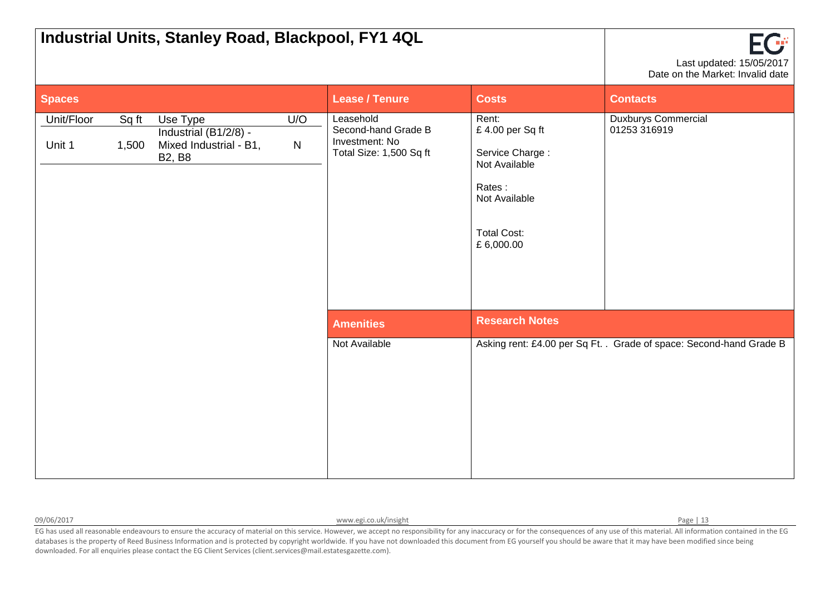|                      |                | Industrial Units, Stanley Road, Blackpool, FY1 4QL                           |                  |                                                                               |                                                                                                                            | FG<br>Last updated: 15/05/2017<br>Date on the Market: Invalid date  |
|----------------------|----------------|------------------------------------------------------------------------------|------------------|-------------------------------------------------------------------------------|----------------------------------------------------------------------------------------------------------------------------|---------------------------------------------------------------------|
| <b>Spaces</b>        |                |                                                                              |                  | <b>Lease / Tenure</b>                                                         | <b>Costs</b>                                                                                                               | <b>Contacts</b>                                                     |
| Unit/Floor<br>Unit 1 | Sq ft<br>1,500 | Use Type<br>Industrial (B1/2/8) -<br>Mixed Industrial - B1,<br><b>B2, B8</b> | U/O<br>${\sf N}$ | Leasehold<br>Second-hand Grade B<br>Investment: No<br>Total Size: 1,500 Sq ft | Rent:<br>£4.00 per Sq ft<br>Service Charge:<br>Not Available<br>Rates:<br>Not Available<br><b>Total Cost:</b><br>£6,000.00 | <b>Duxburys Commercial</b><br>01253 316919                          |
|                      |                |                                                                              |                  | <b>Amenities</b>                                                              | <b>Research Notes</b>                                                                                                      |                                                                     |
|                      |                |                                                                              |                  | Not Available                                                                 |                                                                                                                            | Asking rent: £4.00 per Sq Ft. . Grade of space: Second-hand Grade B |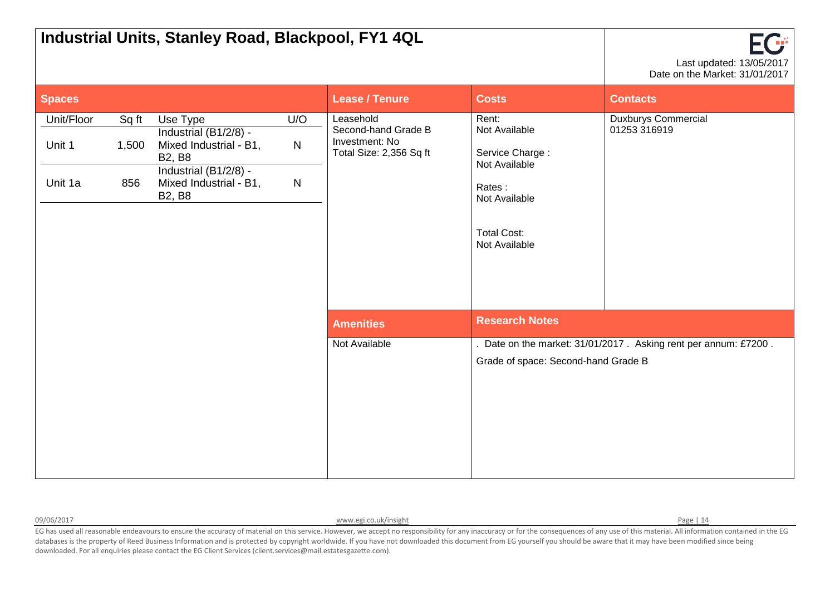|                                 |                       | Industrial Units, Stanley Road, Blackpool, FY1 4QL                                                                                               |                                     |                                                                               |                                                                                                                              | FCF<br>Last updated: 13/05/2017<br>Date on the Market: 31/01/2017 |
|---------------------------------|-----------------------|--------------------------------------------------------------------------------------------------------------------------------------------------|-------------------------------------|-------------------------------------------------------------------------------|------------------------------------------------------------------------------------------------------------------------------|-------------------------------------------------------------------|
| <b>Spaces</b>                   |                       |                                                                                                                                                  |                                     | <b>Lease / Tenure</b>                                                         | <b>Costs</b>                                                                                                                 | <b>Contacts</b>                                                   |
| Unit/Floor<br>Unit 1<br>Unit 1a | Sq ft<br>1,500<br>856 | Use Type<br>Industrial (B1/2/8) -<br>Mixed Industrial - B1,<br><b>B2, B8</b><br>Industrial (B1/2/8) -<br>Mixed Industrial - B1,<br><b>B2, B8</b> | U/O<br>$\mathsf{N}$<br>$\mathsf{N}$ | Leasehold<br>Second-hand Grade B<br>Investment: No<br>Total Size: 2,356 Sq ft | Rent:<br>Not Available<br>Service Charge:<br>Not Available<br>Rates:<br>Not Available<br><b>Total Cost:</b><br>Not Available | <b>Duxburys Commercial</b><br>01253 316919                        |
|                                 |                       |                                                                                                                                                  |                                     | <b>Amenities</b>                                                              | <b>Research Notes</b>                                                                                                        |                                                                   |
|                                 |                       |                                                                                                                                                  |                                     | Not Available                                                                 | Grade of space: Second-hand Grade B                                                                                          | . Date on the market: 31/01/2017. Asking rent per annum: £7200.   |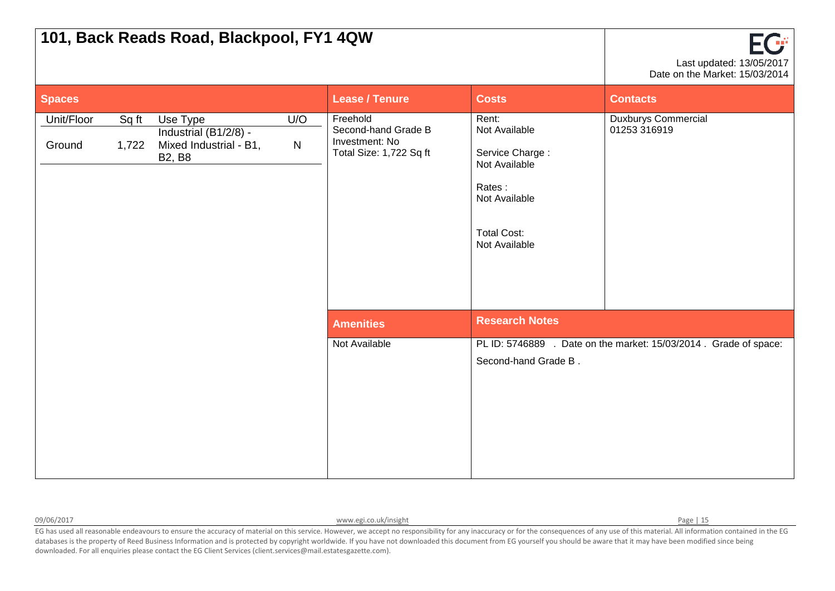|                      |                | 101, Back Reads Road, Blackpool, FY1 4QW                                     |          |                                                                              |                                                                                                                              | EG<br>Last updated: 13/05/2017<br>Date on the Market: 15/03/2014  |
|----------------------|----------------|------------------------------------------------------------------------------|----------|------------------------------------------------------------------------------|------------------------------------------------------------------------------------------------------------------------------|-------------------------------------------------------------------|
| Spaces               |                |                                                                              |          | <b>Lease / Tenure</b>                                                        | <b>Costs</b>                                                                                                                 | <b>Contacts</b>                                                   |
| Unit/Floor<br>Ground | Sq ft<br>1,722 | Use Type<br>Industrial (B1/2/8) -<br>Mixed Industrial - B1,<br><b>B2, B8</b> | U/O<br>N | Freehold<br>Second-hand Grade B<br>Investment: No<br>Total Size: 1,722 Sq ft | Rent:<br>Not Available<br>Service Charge:<br>Not Available<br>Rates:<br>Not Available<br><b>Total Cost:</b><br>Not Available | <b>Duxburys Commercial</b><br>01253 316919                        |
|                      |                |                                                                              |          | <b>Amenities</b>                                                             | <b>Research Notes</b>                                                                                                        |                                                                   |
|                      |                |                                                                              |          | Not Available                                                                | Second-hand Grade B.                                                                                                         | PL ID: 5746889 . Date on the market: 15/03/2014 . Grade of space: |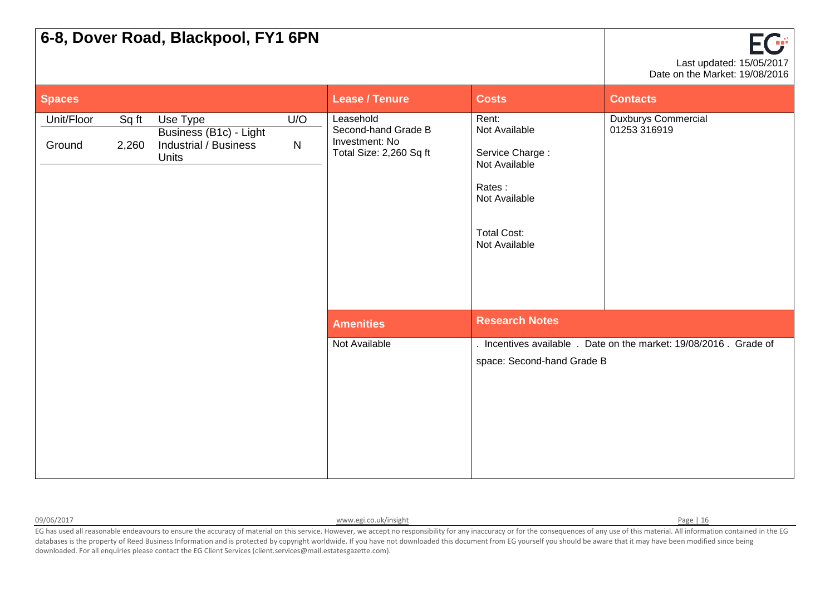|                      |                | 6-8, Dover Road, Blackpool, FY1 6PN                                                |                     |                                                                               |                                                                                                                              | ECT<br>Last updated: 15/05/2017<br>Date on the Market: 19/08/2016 |
|----------------------|----------------|------------------------------------------------------------------------------------|---------------------|-------------------------------------------------------------------------------|------------------------------------------------------------------------------------------------------------------------------|-------------------------------------------------------------------|
| <b>Spaces</b>        |                |                                                                                    |                     | <b>Lease / Tenure</b>                                                         | <b>Costs</b>                                                                                                                 | <b>Contacts</b>                                                   |
| Unit/Floor<br>Ground | Sq ft<br>2,260 | Use Type<br>Business (B1c) - Light<br><b>Industrial / Business</b><br><b>Units</b> | U/O<br>$\mathsf{N}$ | Leasehold<br>Second-hand Grade B<br>Investment: No<br>Total Size: 2,260 Sq ft | Rent:<br>Not Available<br>Service Charge:<br>Not Available<br>Rates:<br>Not Available<br><b>Total Cost:</b><br>Not Available | <b>Duxburys Commercial</b><br>01253 316919                        |
|                      |                |                                                                                    |                     | <b>Amenities</b>                                                              | <b>Research Notes</b>                                                                                                        |                                                                   |
|                      |                |                                                                                    |                     | Not Available                                                                 | space: Second-hand Grade B                                                                                                   | . Incentives available . Date on the market: 19/08/2016. Grade of |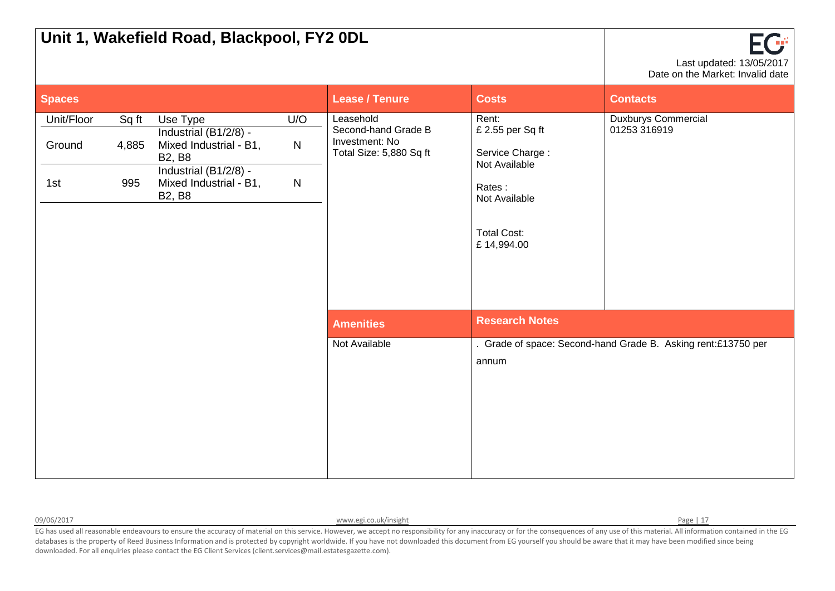| Unit 1, Wakefield Road, Blackpool, FY2 0DL |                       | EG<br>Last updated: 13/05/2017<br>Date on the Market: Invalid date                                                                               |                                  |                                                                               |                                                                                                                              |                                                               |
|--------------------------------------------|-----------------------|--------------------------------------------------------------------------------------------------------------------------------------------------|----------------------------------|-------------------------------------------------------------------------------|------------------------------------------------------------------------------------------------------------------------------|---------------------------------------------------------------|
| <b>Spaces</b>                              |                       |                                                                                                                                                  |                                  | <b>Lease / Tenure</b>                                                         | <b>Costs</b>                                                                                                                 | <b>Contacts</b>                                               |
| Unit/Floor<br>Ground<br>1st                | Sq ft<br>4,885<br>995 | Use Type<br>Industrial (B1/2/8) -<br>Mixed Industrial - B1,<br><b>B2, B8</b><br>Industrial (B1/2/8) -<br>Mixed Industrial - B1,<br><b>B2, B8</b> | U/O<br>${\sf N}$<br>$\mathsf{N}$ | Leasehold<br>Second-hand Grade B<br>Investment: No<br>Total Size: 5,880 Sq ft | Rent:<br>£ 2.55 per Sq ft<br>Service Charge:<br>Not Available<br>Rates:<br>Not Available<br><b>Total Cost:</b><br>£14,994.00 | <b>Duxburys Commercial</b><br>01253 316919                    |
|                                            |                       |                                                                                                                                                  |                                  | <b>Amenities</b>                                                              | <b>Research Notes</b>                                                                                                        |                                                               |
|                                            |                       |                                                                                                                                                  |                                  | Not Available                                                                 | annum                                                                                                                        | . Grade of space: Second-hand Grade B. Asking rent:£13750 per |

09/06/2017 **[www.egi.co.uk/insight](http://www.egi.co.uk/insight) Page | 17** Page | 17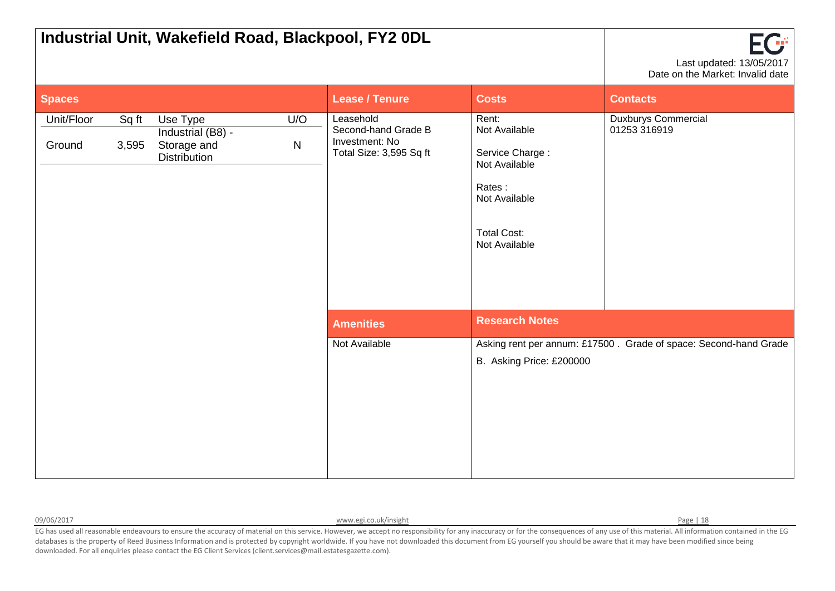|                      |                | Industrial Unit, Wakefield Road, Blackpool, FY2 0DL                 |                     |                                                                               |                                                                                                                              | FG<br>Last updated: 13/05/2017<br>Date on the Market: Invalid date |
|----------------------|----------------|---------------------------------------------------------------------|---------------------|-------------------------------------------------------------------------------|------------------------------------------------------------------------------------------------------------------------------|--------------------------------------------------------------------|
| <b>Spaces</b>        |                |                                                                     |                     | <b>Lease / Tenure</b>                                                         | <b>Costs</b>                                                                                                                 | <b>Contacts</b>                                                    |
| Unit/Floor<br>Ground | Sq ft<br>3,595 | Use Type<br>Industrial (B8) -<br>Storage and<br><b>Distribution</b> | U/O<br>$\mathsf{N}$ | Leasehold<br>Second-hand Grade B<br>Investment: No<br>Total Size: 3,595 Sq ft | Rent:<br>Not Available<br>Service Charge:<br>Not Available<br>Rates:<br>Not Available<br><b>Total Cost:</b><br>Not Available | <b>Duxburys Commercial</b><br>01253 316919                         |
|                      |                |                                                                     |                     | <b>Amenities</b>                                                              | <b>Research Notes</b>                                                                                                        |                                                                    |
|                      |                |                                                                     |                     | Not Available                                                                 | B. Asking Price: £200000                                                                                                     | Asking rent per annum: £17500. Grade of space: Second-hand Grade   |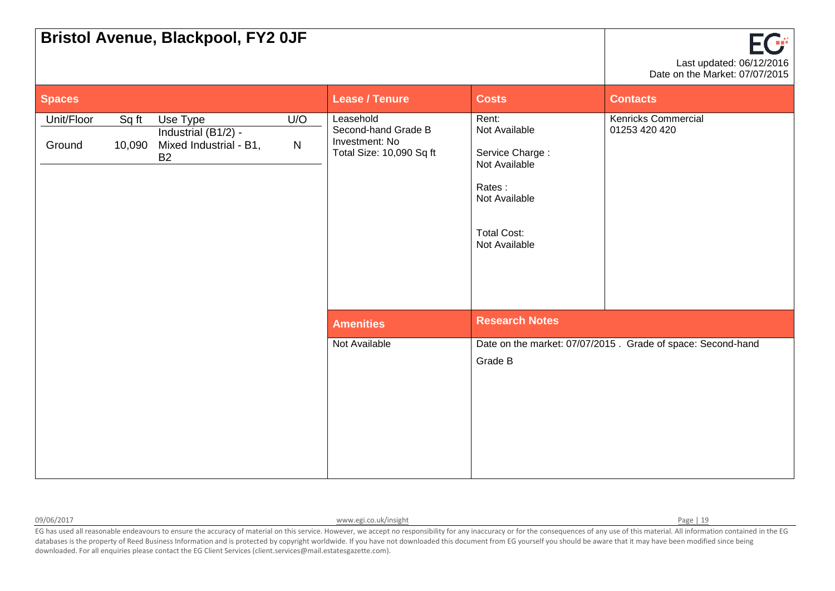|                      |                 | <b>Bristol Avenue, Blackpool, FY2 OJF</b>                              |                  |                                                                                |                                                                                                                              | <b>EG*</b><br>Last updated: 06/12/2016<br>Date on the Market: 07/07/2015 |
|----------------------|-----------------|------------------------------------------------------------------------|------------------|--------------------------------------------------------------------------------|------------------------------------------------------------------------------------------------------------------------------|--------------------------------------------------------------------------|
| <b>Spaces</b>        |                 |                                                                        |                  | <b>Lease / Tenure</b>                                                          | <b>Costs</b>                                                                                                                 | <b>Contacts</b>                                                          |
| Unit/Floor<br>Ground | Sq ft<br>10,090 | Use Type<br>Industrial (B1/2) -<br>Mixed Industrial - B1,<br><b>B2</b> | U/O<br>${\sf N}$ | Leasehold<br>Second-hand Grade B<br>Investment: No<br>Total Size: 10,090 Sq ft | Rent:<br>Not Available<br>Service Charge:<br>Not Available<br>Rates:<br>Not Available<br><b>Total Cost:</b><br>Not Available | <b>Kenricks Commercial</b><br>01253 420 420                              |
|                      |                 |                                                                        |                  | <b>Amenities</b>                                                               | <b>Research Notes</b>                                                                                                        |                                                                          |
|                      |                 |                                                                        |                  | Not Available                                                                  | Grade B                                                                                                                      | Date on the market: 07/07/2015. Grade of space: Second-hand              |

09/06/2017 **[www.egi.co.uk/insight](http://www.egi.co.uk/insight) Page | 19** Page | 19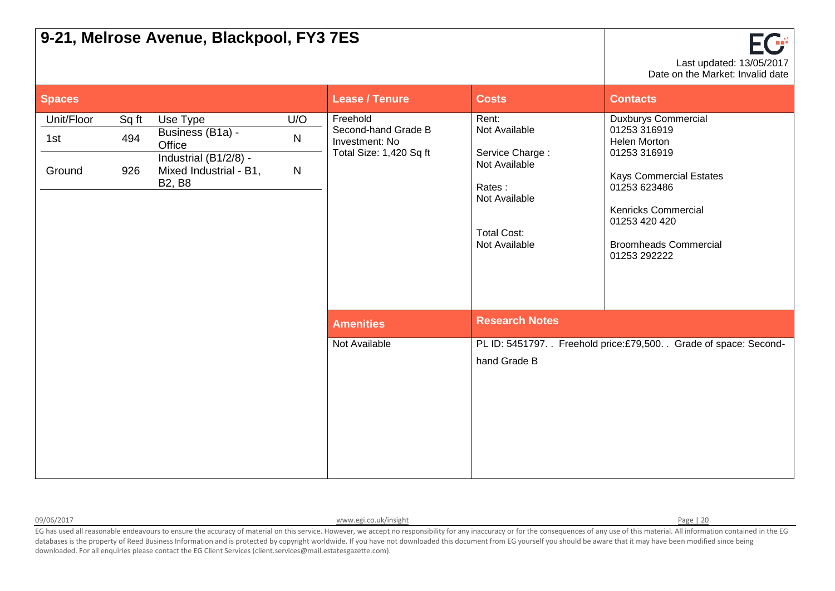|                             |                     | 9-21, Melrose Avenue, Blackpool, FY3 7ES                                                                   |                                     |                                                                              |                                                                                                                              | Last updated: 13/05/2017<br>Date on the Market: Invalid date                                                                                                                                                                       |
|-----------------------------|---------------------|------------------------------------------------------------------------------------------------------------|-------------------------------------|------------------------------------------------------------------------------|------------------------------------------------------------------------------------------------------------------------------|------------------------------------------------------------------------------------------------------------------------------------------------------------------------------------------------------------------------------------|
| <b>Spaces</b>               |                     |                                                                                                            |                                     | <b>Lease / Tenure</b>                                                        | <b>Costs</b>                                                                                                                 | <b>Contacts</b>                                                                                                                                                                                                                    |
| Unit/Floor<br>1st<br>Ground | Sq ft<br>494<br>926 | Use Type<br>Business (B1a) -<br>Office<br>Industrial (B1/2/8) -<br>Mixed Industrial - B1,<br><b>B2, B8</b> | U/O<br>$\mathsf{N}$<br>$\mathsf{N}$ | Freehold<br>Second-hand Grade B<br>Investment: No<br>Total Size: 1,420 Sq ft | Rent:<br>Not Available<br>Service Charge:<br>Not Available<br>Rates:<br>Not Available<br><b>Total Cost:</b><br>Not Available | <b>Duxburys Commercial</b><br>01253 316919<br><b>Helen Morton</b><br>01253 316919<br><b>Kays Commercial Estates</b><br>01253 623486<br><b>Kenricks Commercial</b><br>01253 420 420<br><b>Broomheads Commercial</b><br>01253 292222 |
|                             |                     |                                                                                                            |                                     | <b>Amenities</b>                                                             | <b>Research Notes</b>                                                                                                        |                                                                                                                                                                                                                                    |
|                             |                     |                                                                                                            |                                     | Not Available                                                                | hand Grade B                                                                                                                 | PL ID: 5451797. Freehold price:£79,500. Grade of space: Second-                                                                                                                                                                    |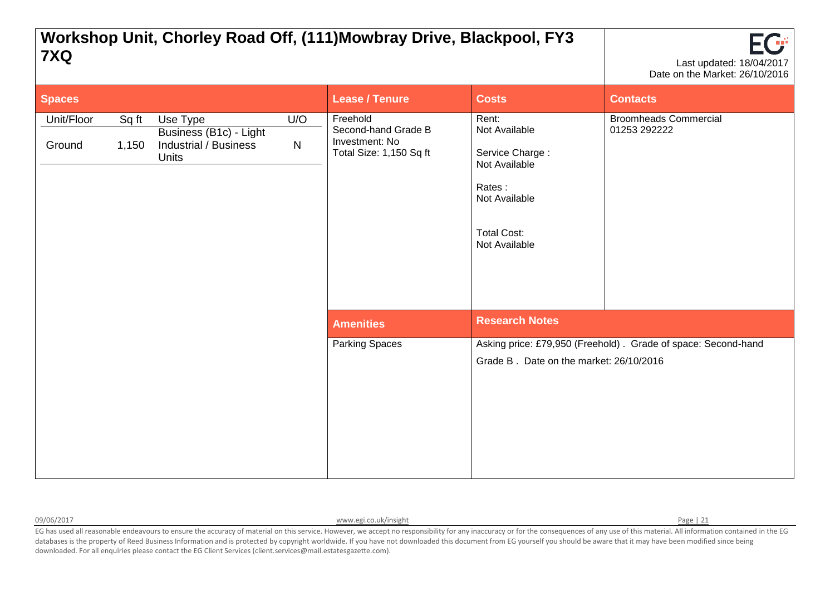| 7XQ                  |                |                                                                                    |                  | Workshop Unit, Chorley Road Off, (111) Mowbray Drive, Blackpool, FY3         |                                                                                                                              | Last updated: 18/04/2017<br>Date on the Market: 26/10/2016    |
|----------------------|----------------|------------------------------------------------------------------------------------|------------------|------------------------------------------------------------------------------|------------------------------------------------------------------------------------------------------------------------------|---------------------------------------------------------------|
| <b>Spaces</b>        |                |                                                                                    |                  | <b>Lease / Tenure</b>                                                        | <b>Costs</b>                                                                                                                 | <b>Contacts</b>                                               |
| Unit/Floor<br>Ground | Sq ft<br>1,150 | Use Type<br>Business (B1c) - Light<br><b>Industrial / Business</b><br><b>Units</b> | U/O<br>${\sf N}$ | Freehold<br>Second-hand Grade B<br>Investment: No<br>Total Size: 1,150 Sq ft | Rent:<br>Not Available<br>Service Charge:<br>Not Available<br>Rates:<br>Not Available<br><b>Total Cost:</b><br>Not Available | <b>Broomheads Commercial</b><br>01253 292222                  |
|                      |                |                                                                                    |                  | <b>Amenities</b>                                                             | <b>Research Notes</b>                                                                                                        |                                                               |
|                      |                |                                                                                    |                  | Parking Spaces                                                               | Grade B. Date on the market: 26/10/2016                                                                                      | Asking price: £79,950 (Freehold). Grade of space: Second-hand |

09/06/2017 Page | 21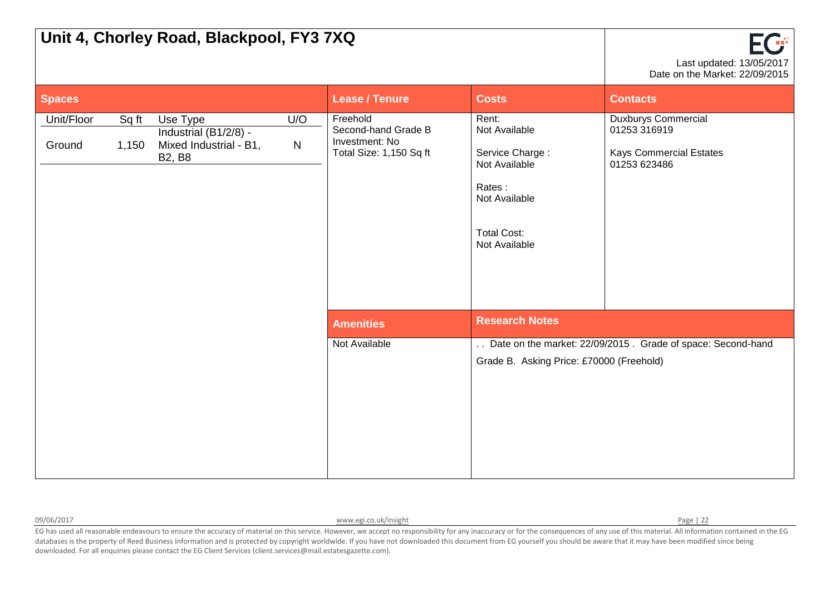|                      |                | Unit 4, Chorley Road, Blackpool, FY3 7XQ                                     |                     |                                                                              |                                                                                                                              | FGF<br>Last updated: 13/05/2017<br>Date on the Market: 22/09/2015                            |
|----------------------|----------------|------------------------------------------------------------------------------|---------------------|------------------------------------------------------------------------------|------------------------------------------------------------------------------------------------------------------------------|----------------------------------------------------------------------------------------------|
| <b>Spaces</b>        |                |                                                                              |                     | <b>Lease / Tenure</b>                                                        | <b>Costs</b>                                                                                                                 | <b>Contacts</b>                                                                              |
| Unit/Floor<br>Ground | Sq ft<br>1,150 | Use Type<br>Industrial (B1/2/8) -<br>Mixed Industrial - B1,<br><b>B2, B8</b> | U/O<br>$\mathsf{N}$ | Freehold<br>Second-hand Grade B<br>Investment: No<br>Total Size: 1,150 Sq ft | Rent:<br>Not Available<br>Service Charge:<br>Not Available<br>Rates:<br>Not Available<br><b>Total Cost:</b><br>Not Available | <b>Duxburys Commercial</b><br>01253 316919<br><b>Kays Commercial Estates</b><br>01253 623486 |
|                      |                |                                                                              |                     | <b>Amenities</b>                                                             | <b>Research Notes</b>                                                                                                        |                                                                                              |
|                      |                |                                                                              |                     | Not Available                                                                | Grade B. Asking Price: £70000 (Freehold)                                                                                     | Date on the market: 22/09/2015. Grade of space: Second-hand                                  |

09/06/2017 **[www.egi.co.uk/insight](http://www.egi.co.uk/insight) Page | 22 www.egi.co.uk/insight Page | 22**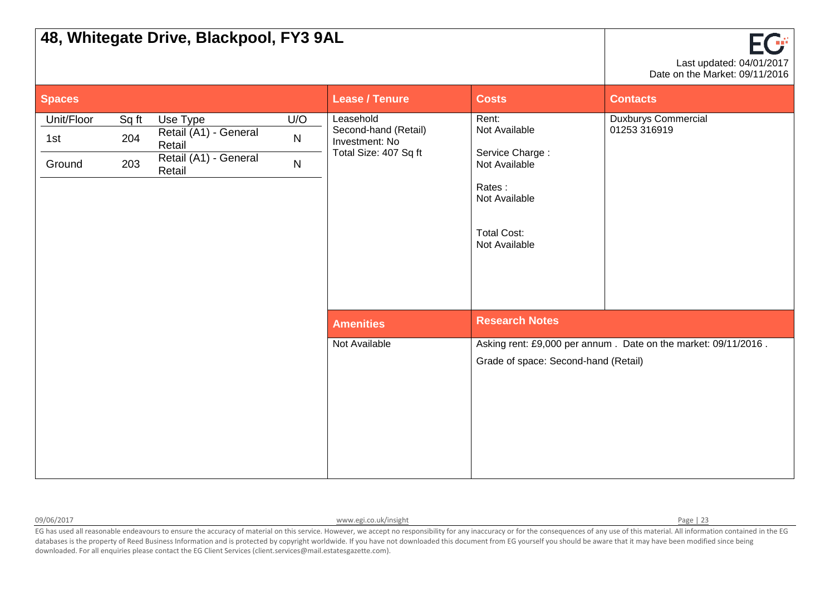|                             |                     | 48, Whitegate Drive, Blackpool, FY3 9AL                                        |                                  |                                                                              |                                                                                                                              | EG<br>Last updated: 04/01/2017<br>Date on the Market: 09/11/2016 |
|-----------------------------|---------------------|--------------------------------------------------------------------------------|----------------------------------|------------------------------------------------------------------------------|------------------------------------------------------------------------------------------------------------------------------|------------------------------------------------------------------|
| <b>Spaces</b>               |                     |                                                                                |                                  | <b>Lease / Tenure</b>                                                        | <b>Costs</b>                                                                                                                 | <b>Contacts</b>                                                  |
| Unit/Floor<br>1st<br>Ground | Sq ft<br>204<br>203 | Use Type<br>Retail (A1) - General<br>Retail<br>Retail (A1) - General<br>Retail | U/O<br>${\sf N}$<br>$\mathsf{N}$ | Leasehold<br>Second-hand (Retail)<br>Investment: No<br>Total Size: 407 Sq ft | Rent:<br>Not Available<br>Service Charge:<br>Not Available<br>Rates:<br>Not Available<br><b>Total Cost:</b><br>Not Available | Duxburys Commercial<br>01253 316919                              |
|                             |                     |                                                                                |                                  | <b>Amenities</b>                                                             | <b>Research Notes</b>                                                                                                        |                                                                  |
|                             |                     |                                                                                |                                  | Not Available                                                                | Grade of space: Second-hand (Retail)                                                                                         | Asking rent: £9,000 per annum. Date on the market: 09/11/2016.   |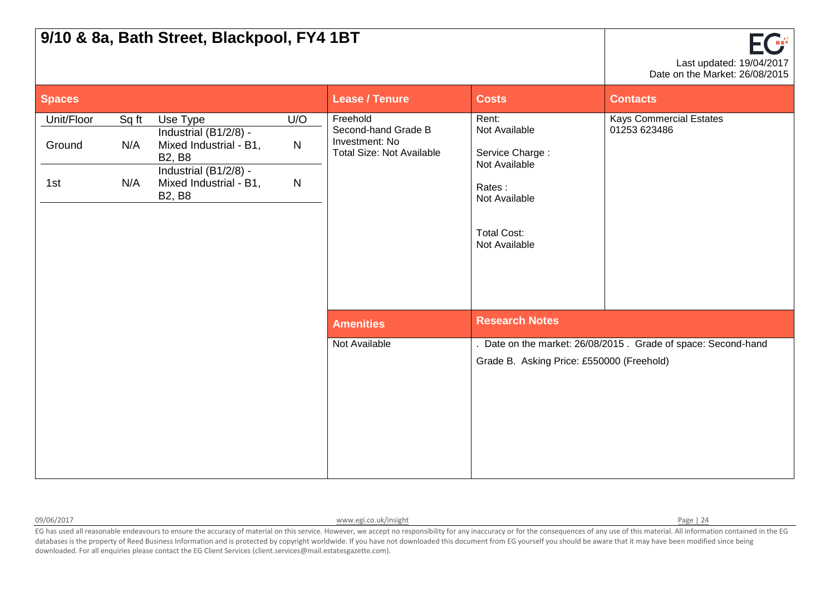|                             |                     | 9/10 & 8a, Bath Street, Blackpool, FY4 1BT                                                                                                       |                                  |                                                                                       |                                                                                                                              | EC S<br>Last updated: 19/04/2017<br>Date on the Market: 26/08/2015 |
|-----------------------------|---------------------|--------------------------------------------------------------------------------------------------------------------------------------------------|----------------------------------|---------------------------------------------------------------------------------------|------------------------------------------------------------------------------------------------------------------------------|--------------------------------------------------------------------|
| <b>Spaces</b>               |                     |                                                                                                                                                  |                                  | <b>Lease / Tenure</b>                                                                 | <b>Costs</b>                                                                                                                 | <b>Contacts</b>                                                    |
| Unit/Floor<br>Ground<br>1st | Sq ft<br>N/A<br>N/A | Use Type<br>Industrial (B1/2/8) -<br>Mixed Industrial - B1,<br><b>B2, B8</b><br>Industrial (B1/2/8) -<br>Mixed Industrial - B1,<br><b>B2, B8</b> | U/O<br>${\sf N}$<br>$\mathsf{N}$ | Freehold<br>Second-hand Grade B<br>Investment: No<br><b>Total Size: Not Available</b> | Rent:<br>Not Available<br>Service Charge:<br>Not Available<br>Rates:<br>Not Available<br><b>Total Cost:</b><br>Not Available | <b>Kays Commercial Estates</b><br>01253 623486                     |
|                             |                     |                                                                                                                                                  |                                  | <b>Amenities</b>                                                                      | <b>Research Notes</b>                                                                                                        |                                                                    |
|                             |                     |                                                                                                                                                  |                                  | Not Available                                                                         | Grade B. Asking Price: £550000 (Freehold)                                                                                    | Date on the market: 26/08/2015. Grade of space: Second-hand        |

09/06/2017 **[www.egi.co.uk/insight](http://www.egi.co.uk/insight) Page | 24** Page | 24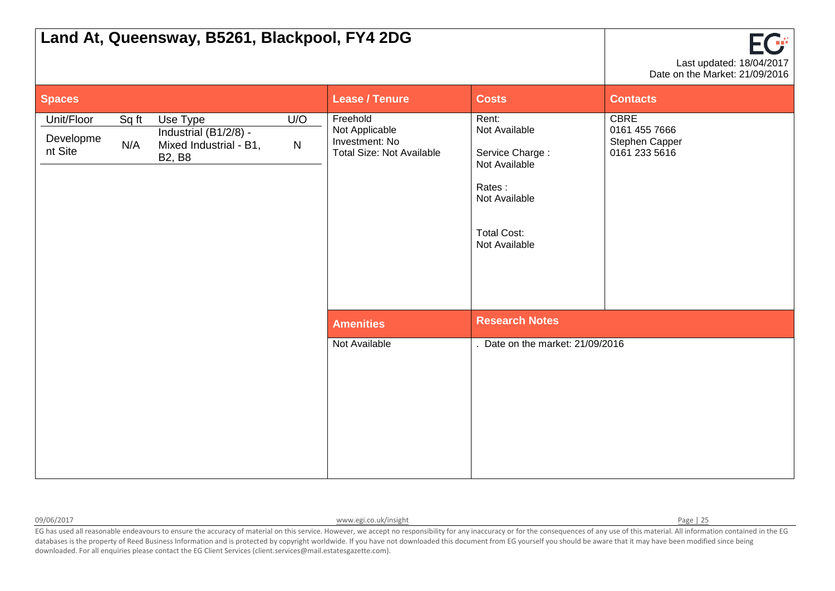| Land At, Queensway, B5261, Blackpool, FY4 2DG                                                                                                             |                                                                                  |                                                                                                                              | Œ<br>Last updated: 18/04/2017<br>Date on the Market: 21/09/2016 |
|-----------------------------------------------------------------------------------------------------------------------------------------------------------|----------------------------------------------------------------------------------|------------------------------------------------------------------------------------------------------------------------------|-----------------------------------------------------------------|
| <b>Spaces</b>                                                                                                                                             | <b>Lease / Tenure</b>                                                            | <b>Costs</b>                                                                                                                 | <b>Contacts</b>                                                 |
| Unit/Floor<br>U/O<br>Sq ft<br>Use Type<br>Industrial (B1/2/8) -<br>Developme<br>N/A<br>Mixed Industrial - B1,<br>$\mathsf{N}$<br>nt Site<br><b>B2, B8</b> | Freehold<br>Not Applicable<br>Investment: No<br><b>Total Size: Not Available</b> | Rent:<br>Not Available<br>Service Charge:<br>Not Available<br>Rates:<br>Not Available<br><b>Total Cost:</b><br>Not Available | <b>CBRE</b><br>0161 455 7666<br>Stephen Capper<br>0161 233 5616 |
|                                                                                                                                                           | <b>Amenities</b>                                                                 | <b>Research Notes</b>                                                                                                        |                                                                 |
|                                                                                                                                                           | Not Available                                                                    | . Date on the market: 21/09/2016                                                                                             |                                                                 |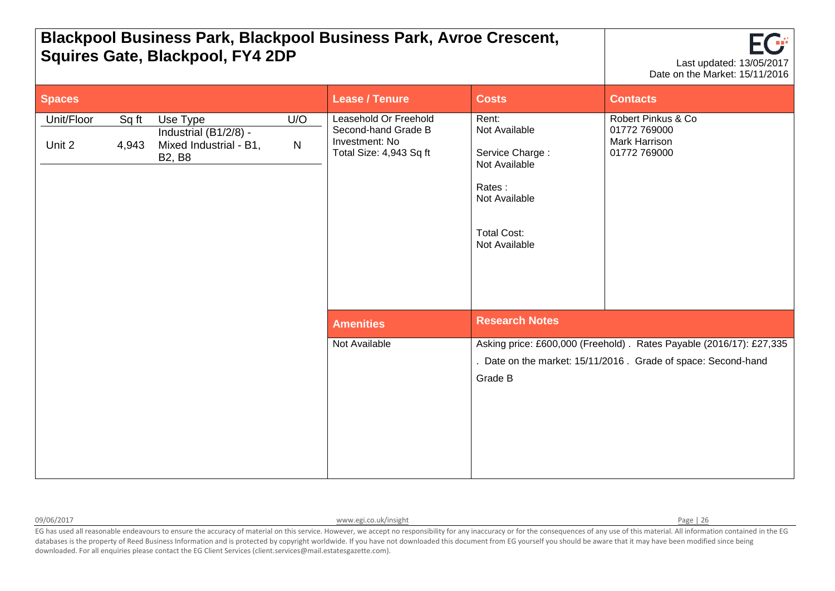| <b>Blackpool Business Park, Blackpool Business Park, Avroe Crescent,</b><br><b>Squires Gate, Blackpool, FY4 2DP</b> |                                                                              | $\sqrt{10}$<br>Last updated: 13/05/2017<br>Date on the Market: 15/11/2016 |                                                                                           |                                                                                                                              |                                                                     |                                                                                                                                       |
|---------------------------------------------------------------------------------------------------------------------|------------------------------------------------------------------------------|---------------------------------------------------------------------------|-------------------------------------------------------------------------------------------|------------------------------------------------------------------------------------------------------------------------------|---------------------------------------------------------------------|---------------------------------------------------------------------------------------------------------------------------------------|
| <b>Spaces</b>                                                                                                       |                                                                              |                                                                           |                                                                                           | <b>Lease / Tenure</b>                                                                                                        | <b>Costs</b>                                                        | <b>Contacts</b>                                                                                                                       |
| Unit/Floor<br>Sq ft<br>Unit 2<br>4,943                                                                              | Use Type<br>Industrial (B1/2/8) -<br>Mixed Industrial - B1,<br><b>B2, B8</b> | U/O<br>$\mathsf{N}$                                                       | Leasehold Or Freehold<br>Second-hand Grade B<br>Investment: No<br>Total Size: 4,943 Sq ft | Rent:<br>Not Available<br>Service Charge:<br>Not Available<br>Rates:<br>Not Available<br><b>Total Cost:</b><br>Not Available | Robert Pinkus & Co<br>01772 769000<br>Mark Harrison<br>01772 769000 |                                                                                                                                       |
|                                                                                                                     |                                                                              |                                                                           |                                                                                           | <b>Amenities</b>                                                                                                             | <b>Research Notes</b>                                               |                                                                                                                                       |
|                                                                                                                     |                                                                              |                                                                           |                                                                                           | Not Available                                                                                                                | Grade B                                                             | Asking price: £600,000 (Freehold) . Rates Payable (2016/17): £27,335<br>. Date on the market: 15/11/2016. Grade of space: Second-hand |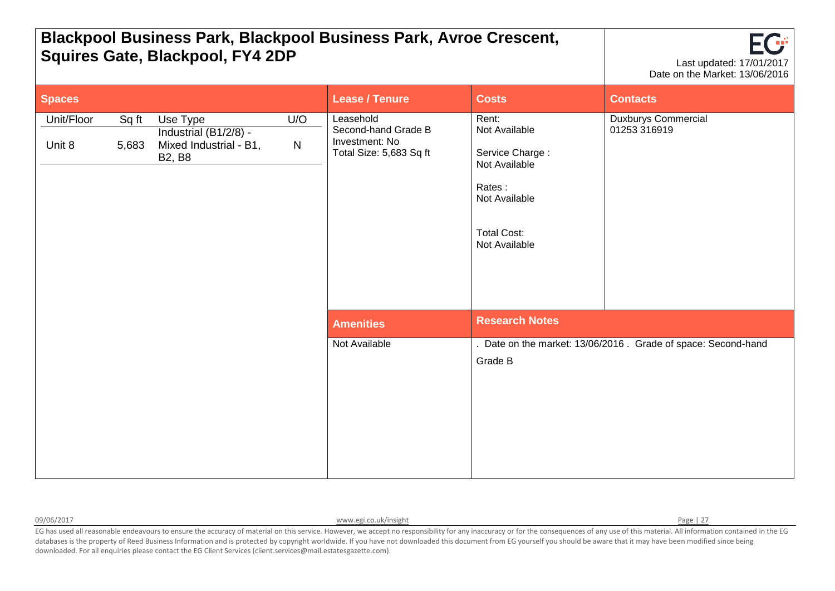| <b>Blackpool Business Park, Blackpool Business Park, Avroe Crescent,</b><br><b>Squires Gate, Blackpool, FY4 2DP</b> |                                                                                 | 302<br>Last updated: 17/01/2017<br>Date on the Market: 13/06/2016             |                                                                                                                              |                                     |                       |                                                              |
|---------------------------------------------------------------------------------------------------------------------|---------------------------------------------------------------------------------|-------------------------------------------------------------------------------|------------------------------------------------------------------------------------------------------------------------------|-------------------------------------|-----------------------|--------------------------------------------------------------|
| <b>Spaces</b>                                                                                                       |                                                                                 |                                                                               |                                                                                                                              | <b>Lease / Tenure</b>               | <b>Costs</b>          | <b>Contacts</b>                                              |
| Unit/Floor<br>Sq ft<br>Unit 8<br>5,683<br><b>B2, B8</b>                                                             | U/O<br>Use Type<br>Industrial (B1/2/8) -<br>Mixed Industrial - B1,<br>${\sf N}$ | Leasehold<br>Second-hand Grade B<br>Investment: No<br>Total Size: 5,683 Sq ft | Rent:<br>Not Available<br>Service Charge:<br>Not Available<br>Rates:<br>Not Available<br><b>Total Cost:</b><br>Not Available | Duxburys Commercial<br>01253 316919 |                       |                                                              |
|                                                                                                                     |                                                                                 |                                                                               |                                                                                                                              | <b>Amenities</b>                    | <b>Research Notes</b> |                                                              |
|                                                                                                                     |                                                                                 |                                                                               |                                                                                                                              | Not Available                       | Grade B               | Date on the market: 13/06/2016 . Grade of space: Second-hand |

09/06/2017 **[www.egi.co.uk/insight](http://www.egi.co.uk/insight) Page | 27 www.egi.co.uk/insight** Page | 27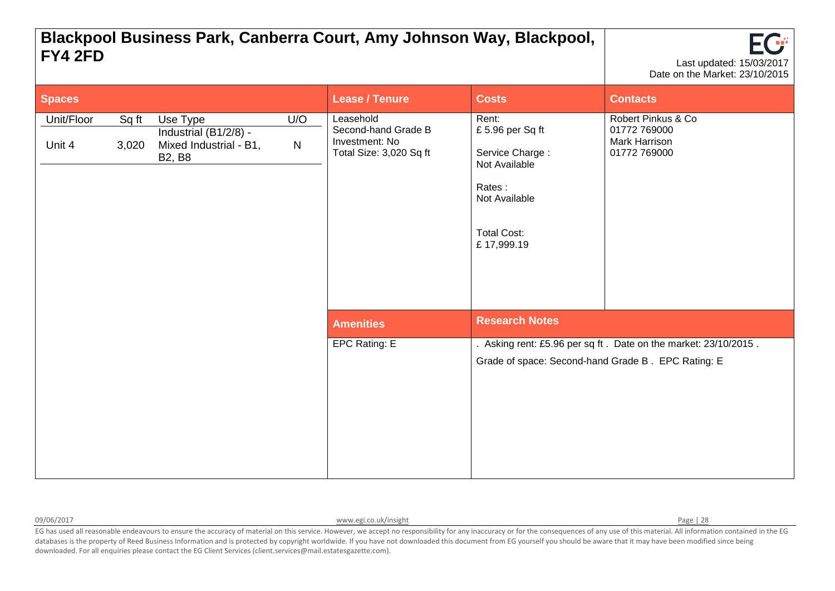| Blackpool Business Park, Canberra Court, Amy Johnson Way, Blackpool,<br>FY4 2FD |                                                                              | <b>TGF</b><br>Last updated: 15/03/2017<br>Date on the Market: 23/10/2015 |                                                                               |                                                                                                                             |                                                                     |                                                                 |
|---------------------------------------------------------------------------------|------------------------------------------------------------------------------|--------------------------------------------------------------------------|-------------------------------------------------------------------------------|-----------------------------------------------------------------------------------------------------------------------------|---------------------------------------------------------------------|-----------------------------------------------------------------|
| <b>Spaces</b>                                                                   |                                                                              |                                                                          |                                                                               | <b>Lease / Tenure</b>                                                                                                       | <b>Costs</b>                                                        | <b>Contacts</b>                                                 |
| Unit/Floor<br>Sq ft<br>Unit 4<br>3,020                                          | Use Type<br>Industrial (B1/2/8) -<br>Mixed Industrial - B1,<br><b>B2, B8</b> | U/O<br>${\sf N}$                                                         | Leasehold<br>Second-hand Grade B<br>Investment: No<br>Total Size: 3,020 Sq ft | Rent:<br>£5.96 per Sq ft<br>Service Charge:<br>Not Available<br>Rates:<br>Not Available<br><b>Total Cost:</b><br>£17,999.19 | Robert Pinkus & Co<br>01772 769000<br>Mark Harrison<br>01772 769000 |                                                                 |
|                                                                                 |                                                                              |                                                                          |                                                                               | <b>Amenities</b>                                                                                                            | <b>Research Notes</b>                                               |                                                                 |
|                                                                                 |                                                                              |                                                                          |                                                                               | EPC Rating: E                                                                                                               | Grade of space: Second-hand Grade B. EPC Rating: E                  | . Asking rent: £5.96 per sq ft. Date on the market: 23/10/2015. |

09/06/2017 **[www.egi.co.uk/insight](http://www.egi.co.uk/insight) Page | 28** Page | 28

┱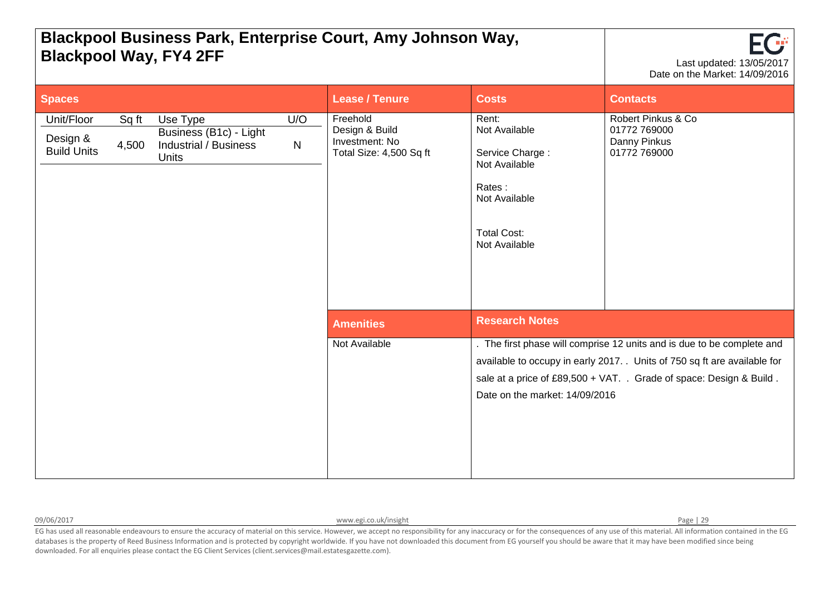|                                              |                                                                                                                          | <b>Blackpool Way, FY4 2FF</b>                                           | PRONPOOL DUOINGOO F GIN, ENGIPHOG OGGIT, ANTY OOMIGON TYGY,                                                                  |                                                                    | EU<br>Last updated: 13/05/2017<br>Date on the Market: 14/09/2016                                                                                                                                                         |
|----------------------------------------------|--------------------------------------------------------------------------------------------------------------------------|-------------------------------------------------------------------------|------------------------------------------------------------------------------------------------------------------------------|--------------------------------------------------------------------|--------------------------------------------------------------------------------------------------------------------------------------------------------------------------------------------------------------------------|
| <b>Spaces</b>                                |                                                                                                                          |                                                                         | <b>Lease / Tenure</b>                                                                                                        | <b>Costs</b>                                                       | <b>Contacts</b>                                                                                                                                                                                                          |
| Unit/Floor<br>Design &<br><b>Build Units</b> | Sq ft<br>U/O<br>Use Type<br>Business (B1c) - Light<br><b>Industrial / Business</b><br>4,500<br>${\sf N}$<br><b>Units</b> | Freehold<br>Design & Build<br>Investment: No<br>Total Size: 4,500 Sq ft | Rent:<br>Not Available<br>Service Charge:<br>Not Available<br>Rates:<br>Not Available<br><b>Total Cost:</b><br>Not Available | Robert Pinkus & Co<br>01772 769000<br>Danny Pinkus<br>01772 769000 |                                                                                                                                                                                                                          |
|                                              |                                                                                                                          |                                                                         | <b>Amenities</b>                                                                                                             | <b>Research Notes</b>                                              |                                                                                                                                                                                                                          |
|                                              |                                                                                                                          |                                                                         | Not Available                                                                                                                | Date on the market: 14/09/2016                                     | . The first phase will comprise 12 units and is due to be complete and<br>available to occupy in early 2017. Units of 750 sq ft are available for<br>sale at a price of £89,500 + VAT. . Grade of space: Design & Build. |

**Blackpool Business Park, Enterprise Court, Amy Johnson Way,** 

09/06/2017 **[www.egi.co.uk/insight](http://www.egi.co.uk/insight) Page | 29 www.egi.co.uk/insight** Page | 29

 $\blacksquare$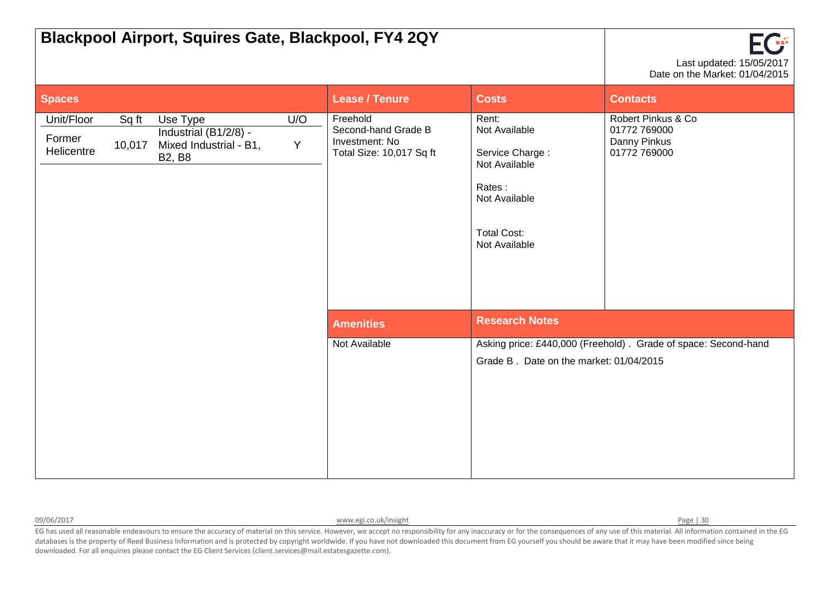| Blackpool Airport, Squires Gate, Blackpool, FY4 2QY                                                                                   |          |                                                                               |                                                                                                                              | $\mathsf{F}(\mathbb{P})$<br>Last updated: 15/05/2017<br>Date on the Market: 01/04/2015 |
|---------------------------------------------------------------------------------------------------------------------------------------|----------|-------------------------------------------------------------------------------|------------------------------------------------------------------------------------------------------------------------------|----------------------------------------------------------------------------------------|
| <b>Spaces</b>                                                                                                                         |          | <b>Lease / Tenure</b>                                                         | <b>Costs</b>                                                                                                                 | <b>Contacts</b>                                                                        |
| Use Type<br>Unit/Floor<br>Sq ft<br>Industrial (B1/2/8) -<br>Former<br>10,017<br>Mixed Industrial - B1,<br>Helicentre<br><b>B2, B8</b> | U/O<br>Y | Freehold<br>Second-hand Grade B<br>Investment: No<br>Total Size: 10,017 Sq ft | Rent:<br>Not Available<br>Service Charge:<br>Not Available<br>Rates:<br>Not Available<br><b>Total Cost:</b><br>Not Available | Robert Pinkus & Co<br>01772 769000<br>Danny Pinkus<br>01772 769000                     |
|                                                                                                                                       |          | <b>Amenities</b>                                                              | <b>Research Notes</b>                                                                                                        |                                                                                        |
|                                                                                                                                       |          | Not Available                                                                 | Grade B. Date on the market: 01/04/2015                                                                                      | Asking price: £440,000 (Freehold). Grade of space: Second-hand                         |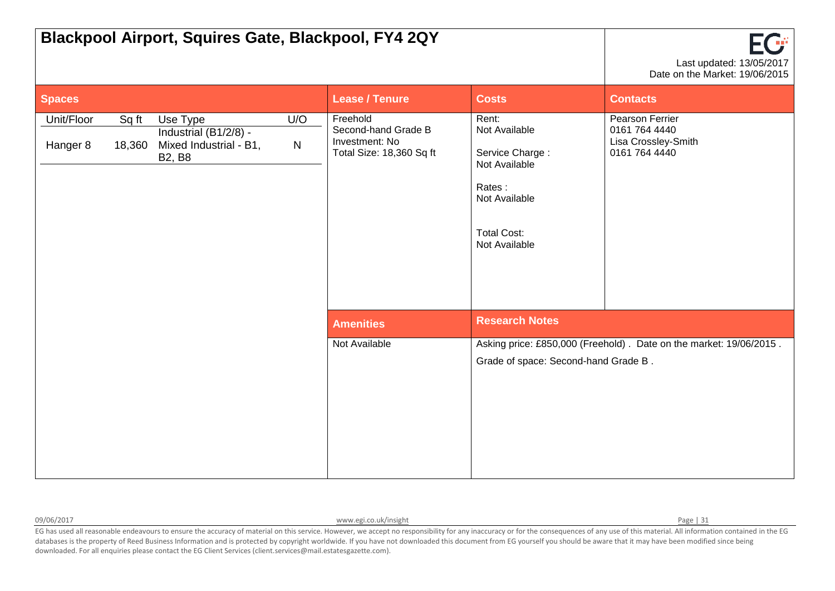|                        |                 | <b>Blackpool Airport, Squires Gate, Blackpool, FY4 2QY</b>                   |          |                                                                               |                                                                                                                              | FG<br>Last updated: 13/05/2017<br>Date on the Market: 19/06/2015         |
|------------------------|-----------------|------------------------------------------------------------------------------|----------|-------------------------------------------------------------------------------|------------------------------------------------------------------------------------------------------------------------------|--------------------------------------------------------------------------|
| <b>Spaces</b>          |                 |                                                                              |          | <b>Lease / Tenure</b>                                                         | <b>Costs</b>                                                                                                                 | <b>Contacts</b>                                                          |
| Unit/Floor<br>Hanger 8 | Sq ft<br>18,360 | Use Type<br>Industrial (B1/2/8) -<br>Mixed Industrial - B1,<br><b>B2, B8</b> | U/O<br>N | Freehold<br>Second-hand Grade B<br>Investment: No<br>Total Size: 18,360 Sq ft | Rent:<br>Not Available<br>Service Charge:<br>Not Available<br>Rates:<br>Not Available<br><b>Total Cost:</b><br>Not Available | Pearson Ferrier<br>0161 764 4440<br>Lisa Crossley-Smith<br>0161 764 4440 |
|                        |                 |                                                                              |          | <b>Amenities</b>                                                              | <b>Research Notes</b>                                                                                                        |                                                                          |
|                        |                 |                                                                              |          | Not Available                                                                 | Grade of space: Second-hand Grade B.                                                                                         | Asking price: £850,000 (Freehold). Date on the market: 19/06/2015.       |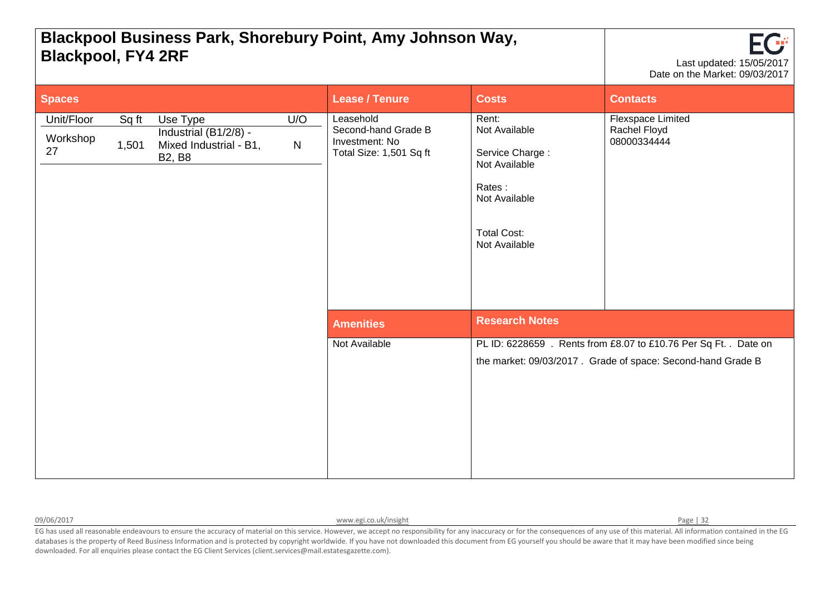## **Blackpool Business Park, Shorebury Point, Amy Johnson Way, Blackpool, FY4 2RF** Last updated: 15/05/2017



| <b>Spaces</b>                |                                             |                                                                     | <b>Lease / Tenure</b>                                                         | <b>Costs</b>                                                                                                                 | <b>Contacts</b>                                                                                                                 |
|------------------------------|---------------------------------------------|---------------------------------------------------------------------|-------------------------------------------------------------------------------|------------------------------------------------------------------------------------------------------------------------------|---------------------------------------------------------------------------------------------------------------------------------|
| Unit/Floor<br>Workshop<br>27 | Sq ft<br>Use Type<br>1,501<br><b>B2, B8</b> | U/O<br>Industrial (B1/2/8) -<br>${\sf N}$<br>Mixed Industrial - B1, | Leasehold<br>Second-hand Grade B<br>Investment: No<br>Total Size: 1,501 Sq ft | Rent:<br>Not Available<br>Service Charge:<br>Not Available<br>Rates:<br>Not Available<br><b>Total Cost:</b><br>Not Available | Flexspace Limited<br>Rachel Floyd<br>08000334444                                                                                |
|                              |                                             |                                                                     | <b>Amenities</b>                                                              | <b>Research Notes</b>                                                                                                        |                                                                                                                                 |
|                              |                                             |                                                                     | Not Available                                                                 |                                                                                                                              | PL ID: 6228659 . Rents from £8.07 to £10.76 Per Sq Ft. . Date on<br>the market: 09/03/2017. Grade of space: Second-hand Grade B |

09/06/2017 Page | 32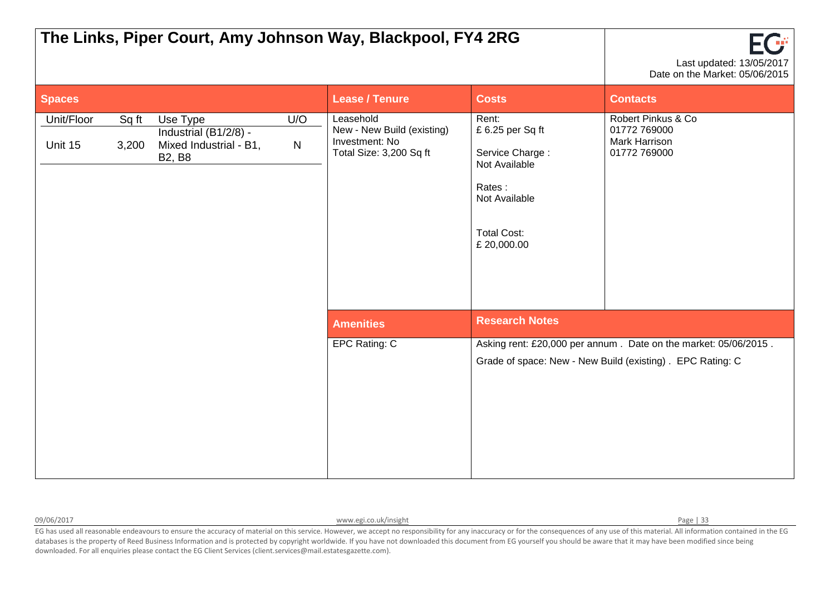|                       |                |                                                                              |                     | The Links, Piper Court, Amy Johnson Way, Blackpool, FY4 2RG                          |                                                                                                                              | Last updated: 13/05/2017<br>Date on the Market: 05/06/2015                                                                   |
|-----------------------|----------------|------------------------------------------------------------------------------|---------------------|--------------------------------------------------------------------------------------|------------------------------------------------------------------------------------------------------------------------------|------------------------------------------------------------------------------------------------------------------------------|
| <b>Spaces</b>         |                |                                                                              |                     | <b>Lease / Tenure</b>                                                                | <b>Costs</b>                                                                                                                 | <b>Contacts</b>                                                                                                              |
| Unit/Floor<br>Unit 15 | Sq ft<br>3,200 | Use Type<br>Industrial (B1/2/8) -<br>Mixed Industrial - B1,<br><b>B2, B8</b> | U/O<br>$\mathsf{N}$ | Leasehold<br>New - New Build (existing)<br>Investment: No<br>Total Size: 3,200 Sq ft | Rent:<br>£6.25 per Sq ft<br>Service Charge:<br>Not Available<br>Rates:<br>Not Available<br><b>Total Cost:</b><br>£ 20,000.00 | Robert Pinkus & Co<br>01772 769000<br>Mark Harrison<br>01772 769000                                                          |
|                       |                |                                                                              |                     | <b>Amenities</b>                                                                     | <b>Research Notes</b>                                                                                                        |                                                                                                                              |
|                       |                |                                                                              |                     | EPC Rating: C                                                                        |                                                                                                                              | Asking rent: £20,000 per annum. Date on the market: 05/06/2015.<br>Grade of space: New - New Build (existing). EPC Rating: C |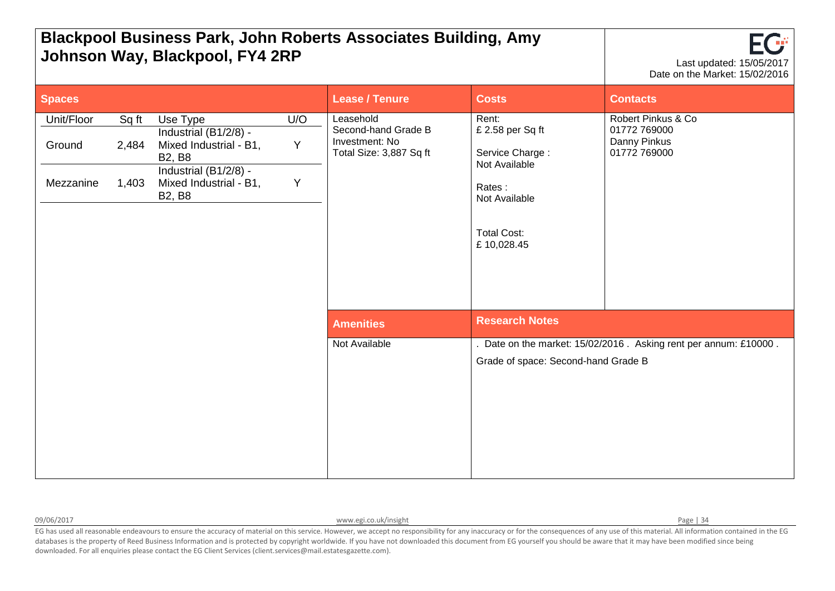| <b>Blackpool Business Park, John Roberts Associates Building, Amy</b><br>Johnson Way, Blackpool, FY4 2RP |                         |                                                                                                                                                  |               |                                                                               |                                                                                                                              | Last updated: 15/05/2017<br>Date on the Market: 15/02/2016         |
|----------------------------------------------------------------------------------------------------------|-------------------------|--------------------------------------------------------------------------------------------------------------------------------------------------|---------------|-------------------------------------------------------------------------------|------------------------------------------------------------------------------------------------------------------------------|--------------------------------------------------------------------|
| <b>Spaces</b>                                                                                            |                         |                                                                                                                                                  |               | <b>Lease / Tenure</b>                                                         | <b>Costs</b>                                                                                                                 | <b>Contacts</b>                                                    |
| Unit/Floor<br>Ground<br>Mezzanine                                                                        | Sq ft<br>2,484<br>1,403 | Use Type<br>Industrial (B1/2/8) -<br>Mixed Industrial - B1,<br><b>B2, B8</b><br>Industrial (B1/2/8) -<br>Mixed Industrial - B1,<br><b>B2, B8</b> | U/O<br>Y<br>Y | Leasehold<br>Second-hand Grade B<br>Investment: No<br>Total Size: 3,887 Sq ft | Rent:<br>£ 2.58 per Sq ft<br>Service Charge:<br>Not Available<br>Rates:<br>Not Available<br><b>Total Cost:</b><br>£10,028.45 | Robert Pinkus & Co<br>01772 769000<br>Danny Pinkus<br>01772 769000 |
|                                                                                                          |                         |                                                                                                                                                  |               | <b>Amenities</b>                                                              | <b>Research Notes</b>                                                                                                        |                                                                    |
|                                                                                                          |                         |                                                                                                                                                  |               | Not Available                                                                 | Grade of space: Second-hand Grade B                                                                                          | Date on the market: 15/02/2016. Asking rent per annum: £10000.     |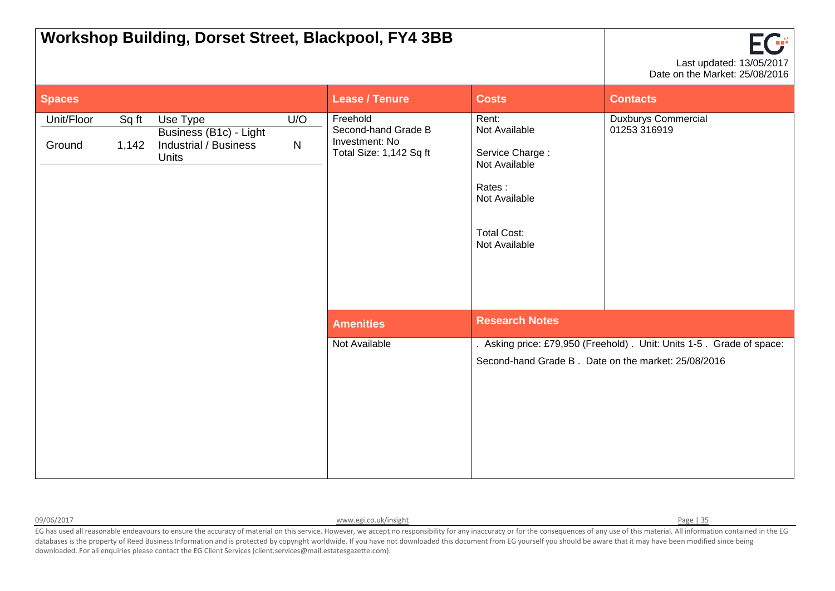|                                                                                                                                              |                                                                              | <b>Workshop Building, Dorset Street, Blackpool, FY4 3BB</b>                                                                  |                                            | EG<br>Last updated: 13/05/2017<br>Date on the Market: 25/08/2016                                                          |
|----------------------------------------------------------------------------------------------------------------------------------------------|------------------------------------------------------------------------------|------------------------------------------------------------------------------------------------------------------------------|--------------------------------------------|---------------------------------------------------------------------------------------------------------------------------|
| <b>Spaces</b>                                                                                                                                |                                                                              | <b>Lease / Tenure</b>                                                                                                        | <b>Costs</b>                               | <b>Contacts</b>                                                                                                           |
| Unit/Floor<br>Sq ft<br>Use Type<br>U/O<br>Business (B1c) - Light<br><b>Industrial / Business</b><br>$\mathsf{N}$<br>Ground<br>1,142<br>Units | Freehold<br>Second-hand Grade B<br>Investment: No<br>Total Size: 1,142 Sq ft | Rent:<br>Not Available<br>Service Charge:<br>Not Available<br>Rates:<br>Not Available<br><b>Total Cost:</b><br>Not Available | <b>Duxburys Commercial</b><br>01253 316919 |                                                                                                                           |
|                                                                                                                                              |                                                                              | <b>Amenities</b>                                                                                                             | <b>Research Notes</b>                      |                                                                                                                           |
|                                                                                                                                              |                                                                              | Not Available                                                                                                                |                                            | Asking price: £79,950 (Freehold). Unit: Units 1-5. Grade of space:<br>Second-hand Grade B. Date on the market: 25/08/2016 |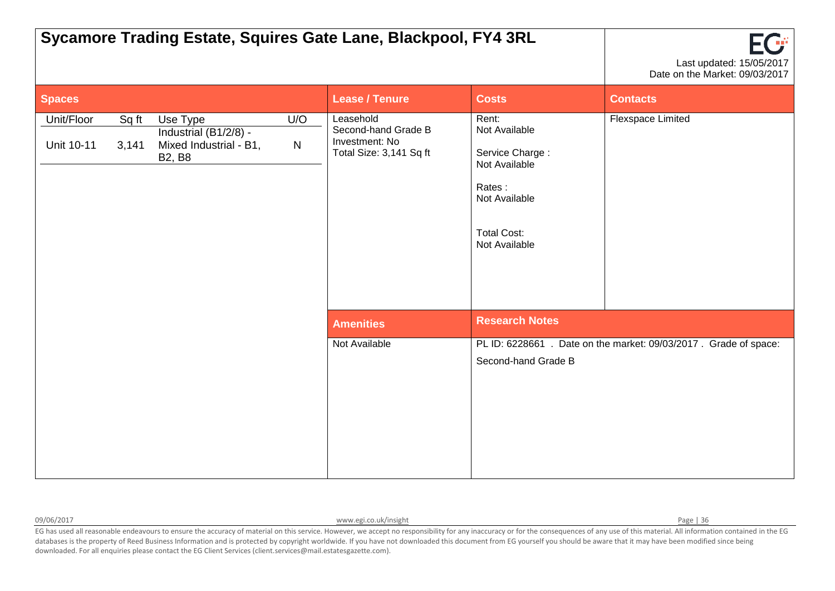|                                                                                                                                                   |                                                                               | Sycamore Trading Estate, Squires Gate Lane, Blackpool, FY4 3RL                                                               |                       | Last updated: 15/05/2017<br>Date on the Market: 09/03/2017        |
|---------------------------------------------------------------------------------------------------------------------------------------------------|-------------------------------------------------------------------------------|------------------------------------------------------------------------------------------------------------------------------|-----------------------|-------------------------------------------------------------------|
| <b>Spaces</b>                                                                                                                                     |                                                                               | <b>Lease / Tenure</b>                                                                                                        | <b>Costs</b>          | <b>Contacts</b>                                                   |
| U/O<br>Unit/Floor<br>Use Type<br>Sq ft<br>Industrial (B1/2/8) -<br>Mixed Industrial - B1,<br>Unit 10-11<br>3,141<br>$\mathsf{N}$<br><b>B2, B8</b> | Leasehold<br>Second-hand Grade B<br>Investment: No<br>Total Size: 3,141 Sq ft | Rent:<br>Not Available<br>Service Charge:<br>Not Available<br>Rates:<br>Not Available<br><b>Total Cost:</b><br>Not Available | Flexspace Limited     |                                                                   |
|                                                                                                                                                   |                                                                               | <b>Amenities</b>                                                                                                             | <b>Research Notes</b> |                                                                   |
|                                                                                                                                                   |                                                                               | Not Available                                                                                                                | Second-hand Grade B   | PL ID: 6228661 . Date on the market: 09/03/2017 . Grade of space: |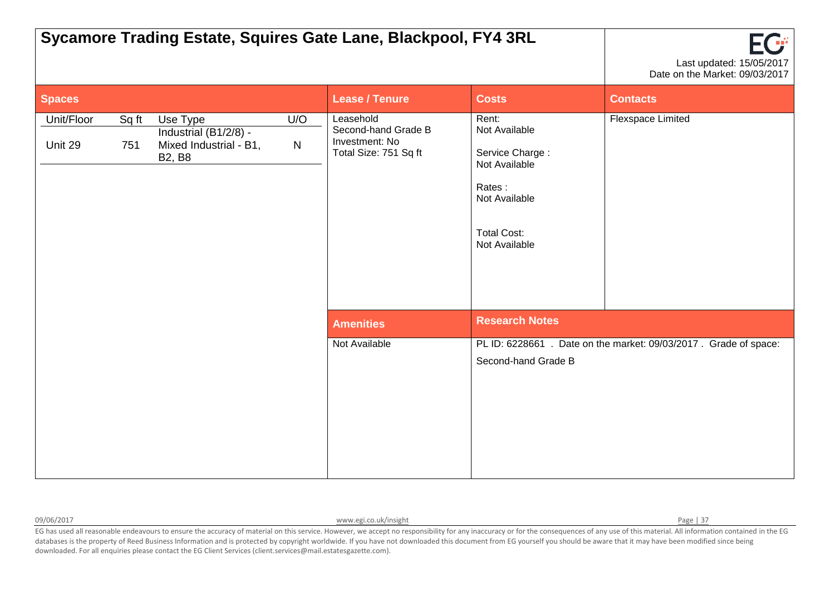|                       |              |                                                                              |                  | Sycamore Trading Estate, Squires Gate Lane, Blackpool, FY4 3RL              |                                                                                                                              | Last updated: 15/05/2017<br>Date on the Market: 09/03/2017        |
|-----------------------|--------------|------------------------------------------------------------------------------|------------------|-----------------------------------------------------------------------------|------------------------------------------------------------------------------------------------------------------------------|-------------------------------------------------------------------|
| <b>Spaces</b>         |              |                                                                              |                  | <b>Lease / Tenure</b>                                                       | <b>Costs</b>                                                                                                                 | <b>Contacts</b>                                                   |
| Unit/Floor<br>Unit 29 | Sq ft<br>751 | Use Type<br>Industrial (B1/2/8) -<br>Mixed Industrial - B1,<br><b>B2, B8</b> | U/O<br>${\sf N}$ | Leasehold<br>Second-hand Grade B<br>Investment: No<br>Total Size: 751 Sq ft | Rent:<br>Not Available<br>Service Charge:<br>Not Available<br>Rates:<br>Not Available<br><b>Total Cost:</b><br>Not Available | Flexspace Limited                                                 |
|                       |              |                                                                              |                  | <b>Amenities</b>                                                            | <b>Research Notes</b>                                                                                                        |                                                                   |
|                       |              |                                                                              |                  | Not Available                                                               | Second-hand Grade B                                                                                                          | PL ID: 6228661 . Date on the market: 09/03/2017 . Grade of space: |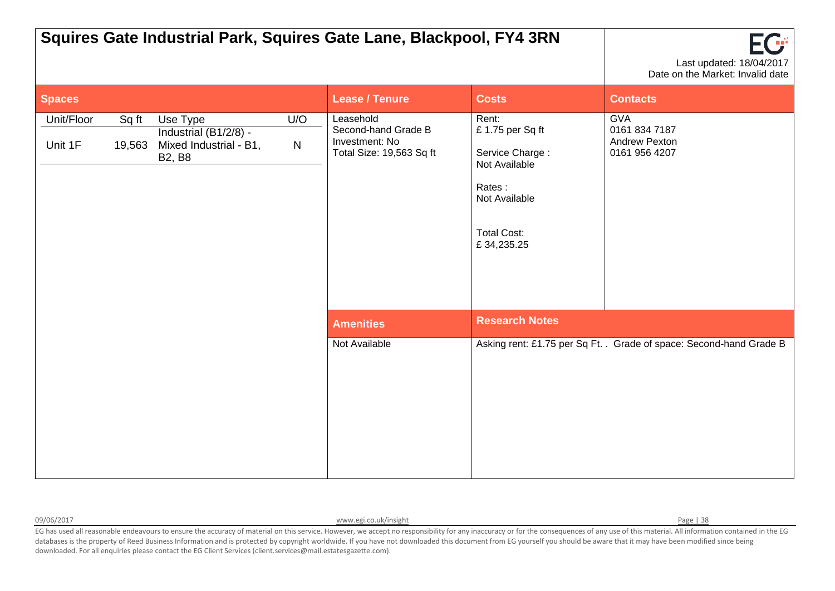|                       |                 |                                                                              |                  | Squires Gate Industrial Park, Squires Gate Lane, Blackpool, FY4 3RN            |                                                                                                                             | Last updated: 18/04/2017<br>Date on the Market: Invalid date         |
|-----------------------|-----------------|------------------------------------------------------------------------------|------------------|--------------------------------------------------------------------------------|-----------------------------------------------------------------------------------------------------------------------------|----------------------------------------------------------------------|
| <b>Spaces</b>         |                 |                                                                              |                  | <b>Lease / Tenure</b>                                                          | <b>Costs</b>                                                                                                                | <b>Contacts</b>                                                      |
| Unit/Floor<br>Unit 1F | Sq ft<br>19,563 | Use Type<br>Industrial (B1/2/8) -<br>Mixed Industrial - B1,<br><b>B2, B8</b> | U/O<br>${\sf N}$ | Leasehold<br>Second-hand Grade B<br>Investment: No<br>Total Size: 19,563 Sq ft | Rent:<br>£1.75 per Sq ft<br>Service Charge:<br>Not Available<br>Rates:<br>Not Available<br><b>Total Cost:</b><br>£34,235.25 | <b>GVA</b><br>0161 834 7187<br><b>Andrew Pexton</b><br>0161 956 4207 |
|                       |                 |                                                                              |                  | <b>Amenities</b>                                                               | <b>Research Notes</b>                                                                                                       |                                                                      |
|                       |                 |                                                                              |                  | Not Available                                                                  |                                                                                                                             | Asking rent: £1.75 per Sq Ft. . Grade of space: Second-hand Grade B  |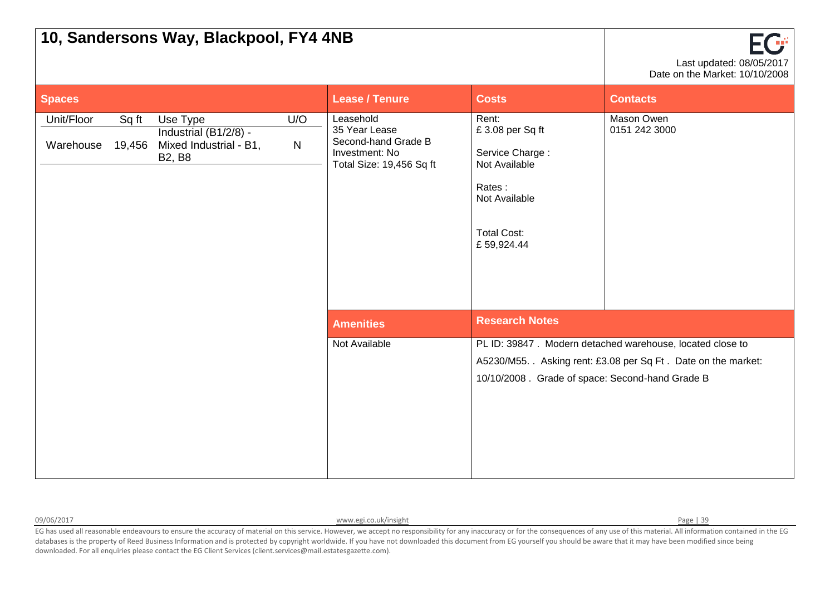|                         |                 | 10, Sandersons Way, Blackpool, FY4 4NB                                       |                     |                                                                                                 |                                                                                                                             | FCF<br>Last updated: 08/05/2017<br>Date on the Market: 10/10/2008                                                         |
|-------------------------|-----------------|------------------------------------------------------------------------------|---------------------|-------------------------------------------------------------------------------------------------|-----------------------------------------------------------------------------------------------------------------------------|---------------------------------------------------------------------------------------------------------------------------|
| Spaces                  |                 |                                                                              |                     | <b>Lease / Tenure</b>                                                                           | <b>Costs</b>                                                                                                                | <b>Contacts</b>                                                                                                           |
| Unit/Floor<br>Warehouse | Sq ft<br>19,456 | Use Type<br>Industrial (B1/2/8) -<br>Mixed Industrial - B1,<br><b>B2, B8</b> | U/O<br>$\mathsf{N}$ | Leasehold<br>35 Year Lease<br>Second-hand Grade B<br>Investment: No<br>Total Size: 19,456 Sq ft | Rent:<br>£3.08 per Sq ft<br>Service Charge:<br>Not Available<br>Rates:<br>Not Available<br><b>Total Cost:</b><br>£59,924.44 | Mason Owen<br>0151 242 3000                                                                                               |
|                         |                 |                                                                              |                     | <b>Amenities</b>                                                                                | <b>Research Notes</b>                                                                                                       |                                                                                                                           |
|                         |                 |                                                                              |                     | Not Available                                                                                   | 10/10/2008. Grade of space: Second-hand Grade B                                                                             | PL ID: 39847. Modern detached warehouse, located close to<br>A5230/M55. Asking rent: £3.08 per Sq Ft. Date on the market: |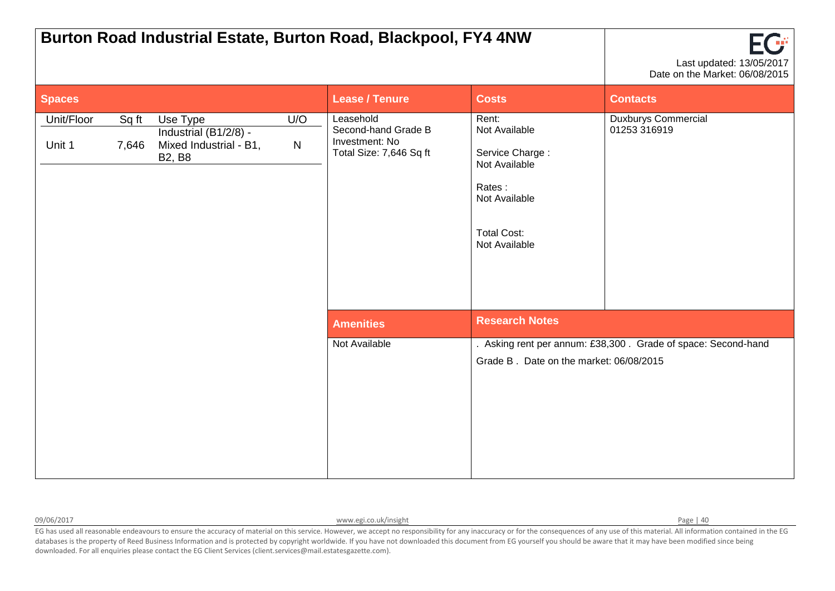|                      |                |                                                                              |                  | Burton Road Industrial Estate, Burton Road, Blackpool, FY4 4NW                |                                                                                                                              | Last updated: 13/05/2017<br>Date on the Market: 06/08/2015    |
|----------------------|----------------|------------------------------------------------------------------------------|------------------|-------------------------------------------------------------------------------|------------------------------------------------------------------------------------------------------------------------------|---------------------------------------------------------------|
| <b>Spaces</b>        |                |                                                                              |                  | <b>Lease / Tenure</b>                                                         | <b>Costs</b>                                                                                                                 | <b>Contacts</b>                                               |
| Unit/Floor<br>Unit 1 | Sq ft<br>7,646 | Use Type<br>Industrial (B1/2/8) -<br>Mixed Industrial - B1,<br><b>B2, B8</b> | U/O<br>${\sf N}$ | Leasehold<br>Second-hand Grade B<br>Investment: No<br>Total Size: 7,646 Sq ft | Rent:<br>Not Available<br>Service Charge:<br>Not Available<br>Rates:<br>Not Available<br><b>Total Cost:</b><br>Not Available | <b>Duxburys Commercial</b><br>01253 316919                    |
|                      |                |                                                                              |                  | <b>Amenities</b>                                                              | <b>Research Notes</b>                                                                                                        |                                                               |
|                      |                |                                                                              |                  | Not Available                                                                 | Grade B. Date on the market: 06/08/2015                                                                                      | . Asking rent per annum: £38,300. Grade of space: Second-hand |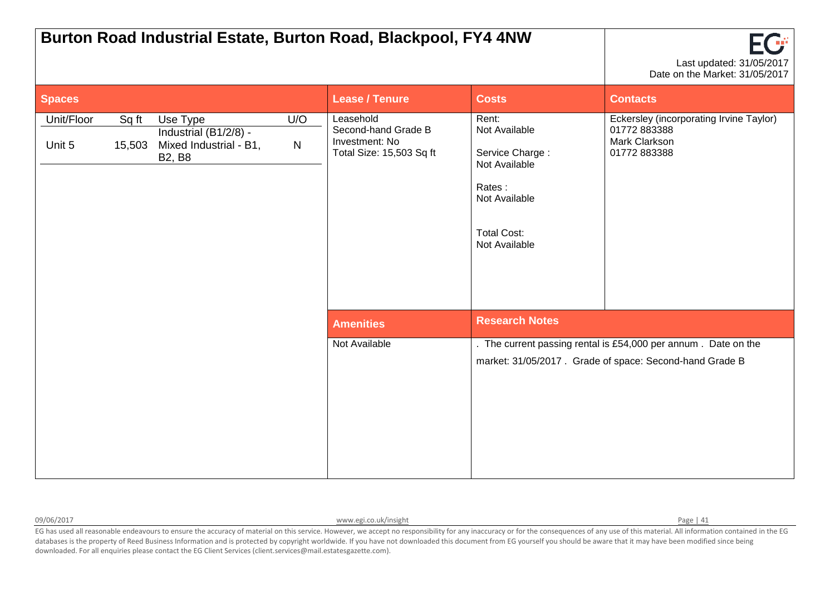|                      |                 |                                                                              |                  | Burton Road Industrial Estate, Burton Road, Blackpool, FY4 4NW                 |                                                                                                                              | Last updated: 31/05/2017<br>Date on the Market: 31/05/2017                                                                |
|----------------------|-----------------|------------------------------------------------------------------------------|------------------|--------------------------------------------------------------------------------|------------------------------------------------------------------------------------------------------------------------------|---------------------------------------------------------------------------------------------------------------------------|
| <b>Spaces</b>        |                 |                                                                              |                  | <b>Lease / Tenure</b>                                                          | <b>Costs</b>                                                                                                                 | <b>Contacts</b>                                                                                                           |
| Unit/Floor<br>Unit 5 | Sq ft<br>15,503 | Use Type<br>Industrial (B1/2/8) -<br>Mixed Industrial - B1,<br><b>B2, B8</b> | U/O<br>${\sf N}$ | Leasehold<br>Second-hand Grade B<br>Investment: No<br>Total Size: 15,503 Sq ft | Rent:<br>Not Available<br>Service Charge:<br>Not Available<br>Rates:<br>Not Available<br><b>Total Cost:</b><br>Not Available | Eckersley (incorporating Irvine Taylor)<br>01772 883388<br>Mark Clarkson<br>01772 883388                                  |
|                      |                 |                                                                              |                  | <b>Amenities</b>                                                               | <b>Research Notes</b>                                                                                                        |                                                                                                                           |
|                      |                 |                                                                              |                  | Not Available                                                                  |                                                                                                                              | . The current passing rental is £54,000 per annum. Date on the<br>market: 31/05/2017. Grade of space: Second-hand Grade B |

09/06/2017 **[www.egi.co.uk/insight](http://www.egi.co.uk/insight) Page | 41** Page | 41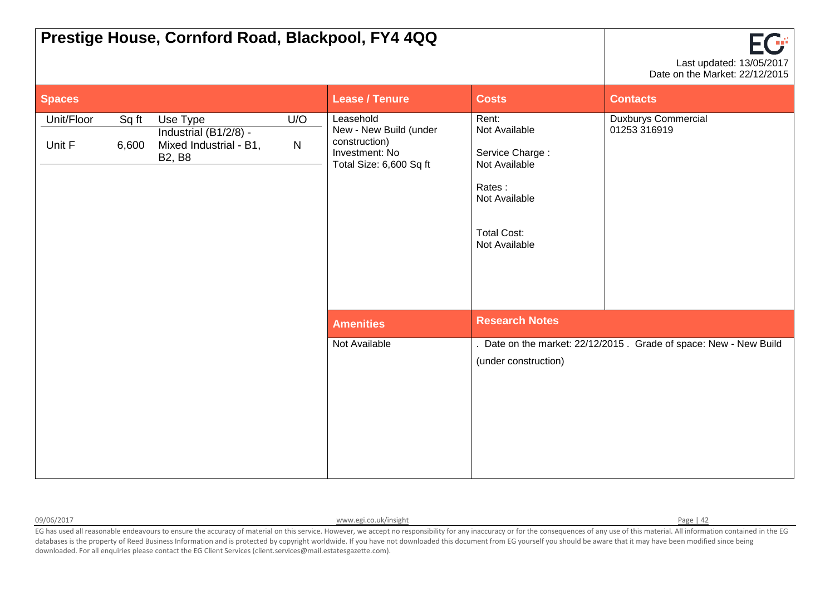|                      |                | Prestige House, Cornford Road, Blackpool, FY4 4QQ                            |          |                                                                                                   |                                                                                                                              | EG<br>Last updated: 13/05/2017<br>Date on the Market: 22/12/2015  |
|----------------------|----------------|------------------------------------------------------------------------------|----------|---------------------------------------------------------------------------------------------------|------------------------------------------------------------------------------------------------------------------------------|-------------------------------------------------------------------|
| <b>Spaces</b>        |                |                                                                              |          | <b>Lease / Tenure</b>                                                                             | <b>Costs</b>                                                                                                                 | <b>Contacts</b>                                                   |
| Unit/Floor<br>Unit F | Sq ft<br>6,600 | Use Type<br>Industrial (B1/2/8) -<br>Mixed Industrial - B1,<br><b>B2, B8</b> | U/O<br>N | Leasehold<br>New - New Build (under<br>construction)<br>Investment: No<br>Total Size: 6,600 Sq ft | Rent:<br>Not Available<br>Service Charge:<br>Not Available<br>Rates:<br>Not Available<br><b>Total Cost:</b><br>Not Available | <b>Duxburys Commercial</b><br>01253 316919                        |
|                      |                |                                                                              |          | <b>Amenities</b>                                                                                  | <b>Research Notes</b>                                                                                                        |                                                                   |
|                      |                |                                                                              |          | Not Available                                                                                     | (under construction)                                                                                                         | . Date on the market: 22/12/2015. Grade of space: New - New Build |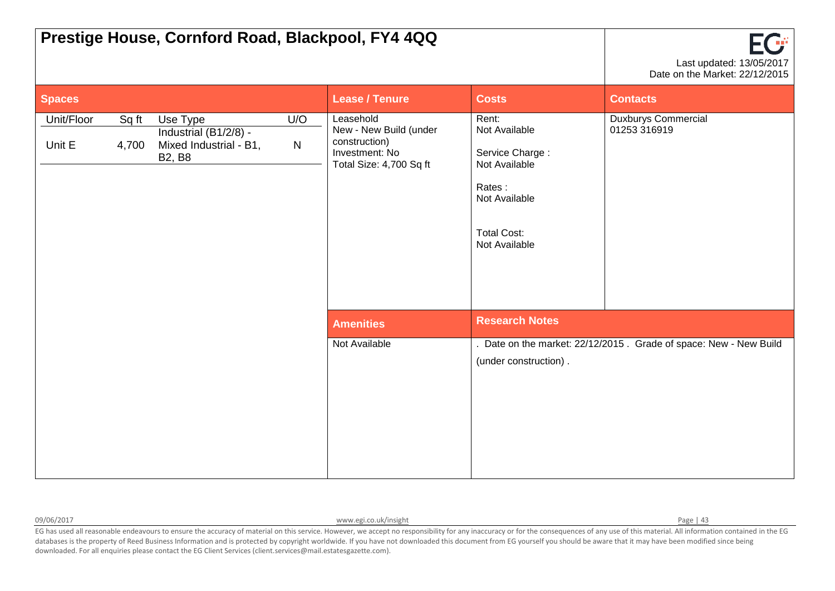|                      |                | Prestige House, Cornford Road, Blackpool, FY4 4QQ                            |                  |                                                                                                   |                                                                                                                              | FG<br>Last updated: 13/05/2017<br>Date on the Market: 22/12/2015  |
|----------------------|----------------|------------------------------------------------------------------------------|------------------|---------------------------------------------------------------------------------------------------|------------------------------------------------------------------------------------------------------------------------------|-------------------------------------------------------------------|
| <b>Spaces</b>        |                |                                                                              |                  | <b>Lease / Tenure</b>                                                                             | <b>Costs</b>                                                                                                                 | <b>Contacts</b>                                                   |
| Unit/Floor<br>Unit E | Sq ft<br>4,700 | Use Type<br>Industrial (B1/2/8) -<br>Mixed Industrial - B1,<br><b>B2, B8</b> | U/O<br>${\sf N}$ | Leasehold<br>New - New Build (under<br>construction)<br>Investment: No<br>Total Size: 4,700 Sq ft | Rent:<br>Not Available<br>Service Charge:<br>Not Available<br>Rates:<br>Not Available<br><b>Total Cost:</b><br>Not Available | <b>Duxburys Commercial</b><br>01253 316919                        |
|                      |                |                                                                              |                  | <b>Amenities</b>                                                                                  | <b>Research Notes</b>                                                                                                        |                                                                   |
|                      |                |                                                                              |                  | Not Available                                                                                     | (under construction).                                                                                                        | . Date on the market: 22/12/2015. Grade of space: New - New Build |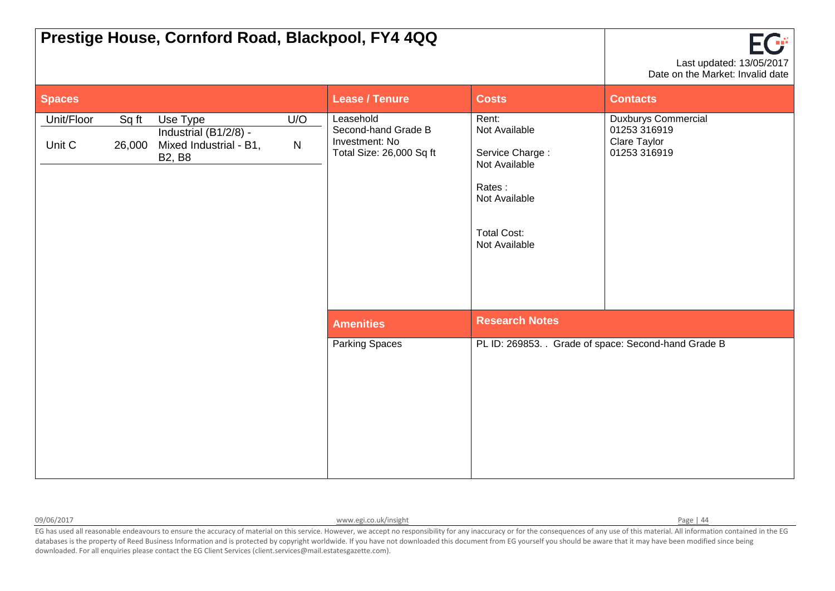|                      |                 | Prestige House, Cornford Road, Blackpool, FY4 4QQ                            |                  |                                                                                |                                                                                                                              | FG<br>Last updated: 13/05/2017<br>Date on the Market: Invalid date         |
|----------------------|-----------------|------------------------------------------------------------------------------|------------------|--------------------------------------------------------------------------------|------------------------------------------------------------------------------------------------------------------------------|----------------------------------------------------------------------------|
| <b>Spaces</b>        |                 |                                                                              |                  | <b>Lease / Tenure</b>                                                          | <b>Costs</b>                                                                                                                 | <b>Contacts</b>                                                            |
| Unit/Floor<br>Unit C | Sq ft<br>26,000 | Use Type<br>Industrial (B1/2/8) -<br>Mixed Industrial - B1,<br><b>B2, B8</b> | U/O<br>${\sf N}$ | Leasehold<br>Second-hand Grade B<br>Investment: No<br>Total Size: 26,000 Sq ft | Rent:<br>Not Available<br>Service Charge:<br>Not Available<br>Rates:<br>Not Available<br><b>Total Cost:</b><br>Not Available | <b>Duxburys Commercial</b><br>01253 316919<br>Clare Taylor<br>01253 316919 |
|                      |                 |                                                                              |                  | <b>Amenities</b>                                                               | <b>Research Notes</b>                                                                                                        |                                                                            |
|                      |                 |                                                                              |                  | <b>Parking Spaces</b>                                                          |                                                                                                                              | PL ID: 269853. Grade of space: Second-hand Grade B                         |

09/06/2017 **[www.egi.co.uk/insight](http://www.egi.co.uk/insight) Page | 44** Page | 44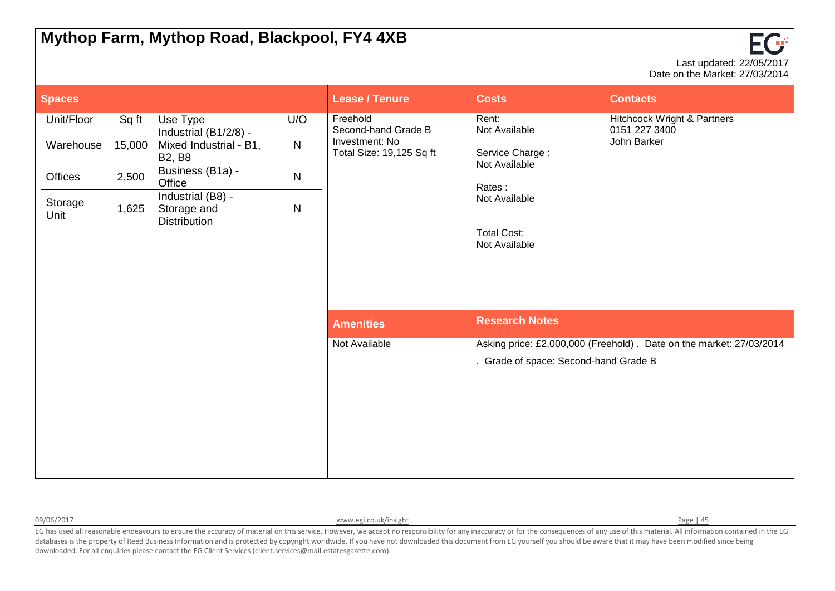| Mythop Farm, Mythop Road, Blackpool, FY4 4XB          |                                   |                                                                                                                                                                       |                                                     |                                                                               |                                                                                                                              | FG<br>Last updated: 22/05/2017<br>Date on the Market: 27/03/2014       |  |
|-------------------------------------------------------|-----------------------------------|-----------------------------------------------------------------------------------------------------------------------------------------------------------------------|-----------------------------------------------------|-------------------------------------------------------------------------------|------------------------------------------------------------------------------------------------------------------------------|------------------------------------------------------------------------|--|
| <b>Spaces</b>                                         |                                   |                                                                                                                                                                       |                                                     | <b>Lease / Tenure</b>                                                         | <b>Costs</b>                                                                                                                 | <b>Contacts</b>                                                        |  |
| Unit/Floor<br>Warehouse<br>Offices<br>Storage<br>Unit | Sq ft<br>15,000<br>2,500<br>1,625 | Use Type<br>Industrial (B1/2/8) -<br>Mixed Industrial - B1,<br><b>B2, B8</b><br>Business (B1a) -<br>Office<br>Industrial (B8) -<br>Storage and<br><b>Distribution</b> | U/O<br>$\mathsf{N}$<br>$\mathsf{N}$<br>$\mathsf{N}$ | Freehold<br>Second-hand Grade B<br>Investment: No<br>Total Size: 19,125 Sq ft | Rent:<br>Not Available<br>Service Charge:<br>Not Available<br>Rates:<br>Not Available<br><b>Total Cost:</b><br>Not Available | <b>Hitchcock Wright &amp; Partners</b><br>0151 227 3400<br>John Barker |  |
|                                                       |                                   |                                                                                                                                                                       |                                                     | <b>Amenities</b>                                                              | <b>Research Notes</b>                                                                                                        |                                                                        |  |
|                                                       |                                   |                                                                                                                                                                       |                                                     | Not Available                                                                 | . Grade of space: Second-hand Grade B                                                                                        | Asking price: £2,000,000 (Freehold). Date on the market: 27/03/2014    |  |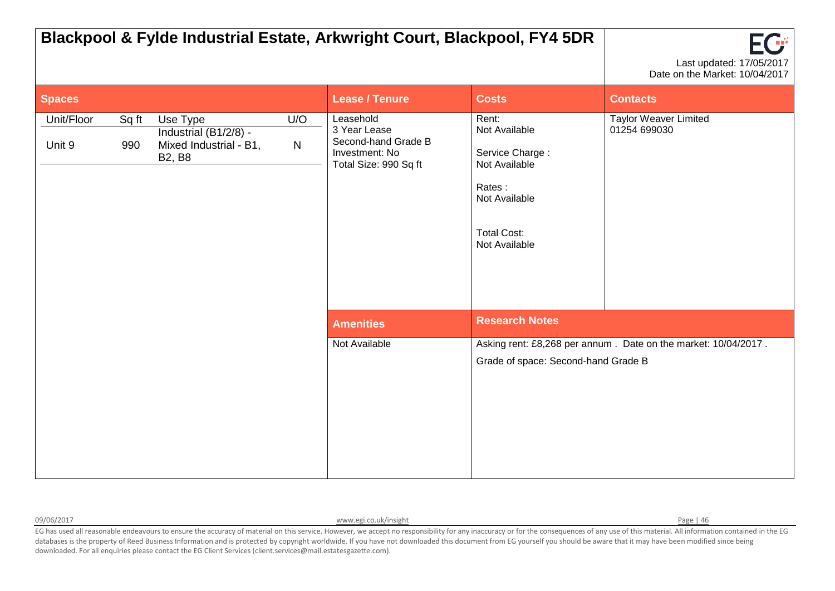|                      |              |                                                                              |                     | Blackpool & Fylde Industrial Estate, Arkwright Court, Blackpool, FY4 5DR                    |                                                                                                                              | ΠŤ<br>Last updated: 17/05/2017<br>Date on the Market: 10/04/2017 |
|----------------------|--------------|------------------------------------------------------------------------------|---------------------|---------------------------------------------------------------------------------------------|------------------------------------------------------------------------------------------------------------------------------|------------------------------------------------------------------|
| <b>Spaces</b>        |              |                                                                              |                     | <b>Lease / Tenure</b>                                                                       | <b>Costs</b>                                                                                                                 | <b>Contacts</b>                                                  |
| Unit/Floor<br>Unit 9 | Sq ft<br>990 | Use Type<br>Industrial (B1/2/8) -<br>Mixed Industrial - B1,<br><b>B2, B8</b> | U/O<br>$\mathsf{N}$ | Leasehold<br>3 Year Lease<br>Second-hand Grade B<br>Investment: No<br>Total Size: 990 Sq ft | Rent:<br>Not Available<br>Service Charge:<br>Not Available<br>Rates:<br>Not Available<br><b>Total Cost:</b><br>Not Available | <b>Taylor Weaver Limited</b><br>01254 699030                     |
|                      |              |                                                                              |                     | <b>Amenities</b>                                                                            | <b>Research Notes</b>                                                                                                        |                                                                  |
|                      |              |                                                                              |                     | Not Available                                                                               | Grade of space: Second-hand Grade B                                                                                          | Asking rent: £8,268 per annum. Date on the market: 10/04/2017.   |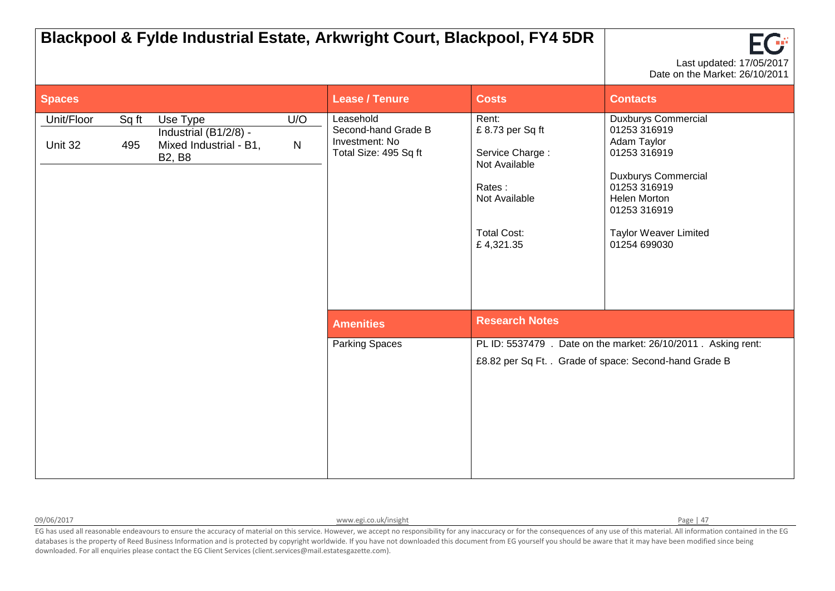|                       |              |                                                                              |          |                                                                             | Blackpool & Fylde Industrial Estate, Arkwright Court, Blackpool, FY4 5DR                                                   | FCF<br>Last updated: 17/05/2017<br>Date on the Market: 26/10/2011                                                                                                                                       |
|-----------------------|--------------|------------------------------------------------------------------------------|----------|-----------------------------------------------------------------------------|----------------------------------------------------------------------------------------------------------------------------|---------------------------------------------------------------------------------------------------------------------------------------------------------------------------------------------------------|
| <b>Spaces</b>         |              |                                                                              |          | <b>Lease / Tenure</b>                                                       | <b>Costs</b>                                                                                                               | <b>Contacts</b>                                                                                                                                                                                         |
| Unit/Floor<br>Unit 32 | Sq ft<br>495 | Use Type<br>Industrial (B1/2/8) -<br>Mixed Industrial - B1,<br><b>B2, B8</b> | U/O<br>N | Leasehold<br>Second-hand Grade B<br>Investment: No<br>Total Size: 495 Sq ft | Rent:<br>£8.73 per Sq ft<br>Service Charge:<br>Not Available<br>Rates:<br>Not Available<br><b>Total Cost:</b><br>£4,321.35 | <b>Duxburys Commercial</b><br>01253 316919<br>Adam Taylor<br>01253 316919<br><b>Duxburys Commercial</b><br>01253 316919<br>Helen Morton<br>01253 316919<br><b>Taylor Weaver Limited</b><br>01254 699030 |
|                       |              |                                                                              |          | <b>Amenities</b>                                                            | <b>Research Notes</b>                                                                                                      |                                                                                                                                                                                                         |
|                       |              |                                                                              |          | <b>Parking Spaces</b>                                                       |                                                                                                                            | PL ID: 5537479 . Date on the market: 26/10/2011 . Asking rent:<br>£8.82 per Sq Ft. . Grade of space: Second-hand Grade B                                                                                |

09/06/2017 **[www.egi.co.uk/insight](http://www.egi.co.uk/insight) Page | 47** Page | 47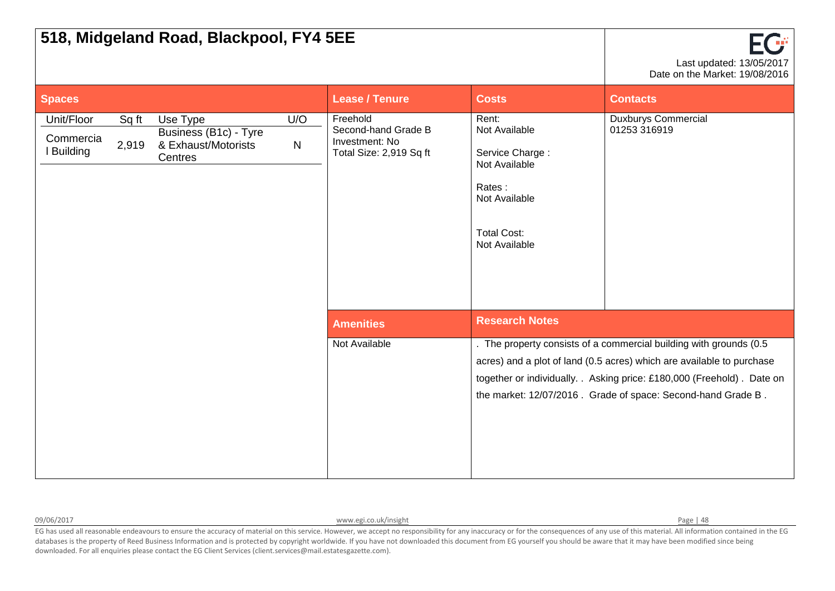|                                            |                | 518, Midgeland Road, Blackpool, FY4 5EE                             |                     |                                                                              |                                                                                                                              | Last updated: 13/05/2017<br>Date on the Market: 19/08/2016                                                                                                                                                                                                                            |
|--------------------------------------------|----------------|---------------------------------------------------------------------|---------------------|------------------------------------------------------------------------------|------------------------------------------------------------------------------------------------------------------------------|---------------------------------------------------------------------------------------------------------------------------------------------------------------------------------------------------------------------------------------------------------------------------------------|
| <b>Spaces</b>                              |                |                                                                     |                     | <b>Lease / Tenure</b>                                                        | <b>Costs</b>                                                                                                                 | <b>Contacts</b>                                                                                                                                                                                                                                                                       |
| Unit/Floor<br>Commercia<br><b>Building</b> | Sq ft<br>2,919 | Use Type<br>Business (B1c) - Tyre<br>& Exhaust/Motorists<br>Centres | U/O<br>$\mathsf{N}$ | Freehold<br>Second-hand Grade B<br>Investment: No<br>Total Size: 2,919 Sq ft | Rent:<br>Not Available<br>Service Charge:<br>Not Available<br>Rates:<br>Not Available<br><b>Total Cost:</b><br>Not Available | <b>Duxburys Commercial</b><br>01253 316919                                                                                                                                                                                                                                            |
|                                            |                |                                                                     |                     | <b>Amenities</b>                                                             | <b>Research Notes</b>                                                                                                        |                                                                                                                                                                                                                                                                                       |
|                                            |                |                                                                     |                     | Not Available                                                                |                                                                                                                              | . The property consists of a commercial building with grounds (0.5<br>acres) and a plot of land (0.5 acres) which are available to purchase<br>together or individually. . Asking price: £180,000 (Freehold). Date on<br>the market: 12/07/2016. Grade of space: Second-hand Grade B. |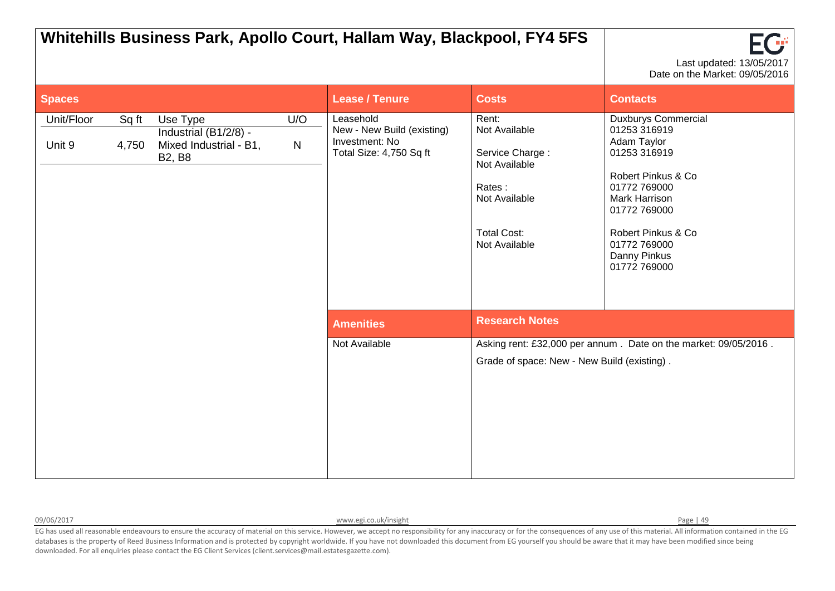|                      |                |                                                                              |                     | Whitehills Business Park, Apollo Court, Hallam Way, Blackpool, FY4 5FS               |                                                                                                                              | Last updated: 13/05/2017<br>Date on the Market: 09/05/2016                                                                                                                                                                    |
|----------------------|----------------|------------------------------------------------------------------------------|---------------------|--------------------------------------------------------------------------------------|------------------------------------------------------------------------------------------------------------------------------|-------------------------------------------------------------------------------------------------------------------------------------------------------------------------------------------------------------------------------|
| <b>Spaces</b>        |                |                                                                              |                     | <b>Lease / Tenure</b>                                                                | <b>Costs</b>                                                                                                                 | <b>Contacts</b>                                                                                                                                                                                                               |
| Unit/Floor<br>Unit 9 | Sq ft<br>4,750 | Use Type<br>Industrial (B1/2/8) -<br>Mixed Industrial - B1,<br><b>B2, B8</b> | U/O<br>$\mathsf{N}$ | Leasehold<br>New - New Build (existing)<br>Investment: No<br>Total Size: 4,750 Sq ft | Rent:<br>Not Available<br>Service Charge:<br>Not Available<br>Rates:<br>Not Available<br><b>Total Cost:</b><br>Not Available | <b>Duxburys Commercial</b><br>01253 316919<br>Adam Taylor<br>01253 316919<br>Robert Pinkus & Co<br>01772 769000<br><b>Mark Harrison</b><br>01772 769000<br>Robert Pinkus & Co<br>01772 769000<br>Danny Pinkus<br>01772 769000 |
|                      |                |                                                                              |                     | <b>Amenities</b>                                                                     | <b>Research Notes</b>                                                                                                        |                                                                                                                                                                                                                               |
|                      |                |                                                                              |                     | Not Available                                                                        | Grade of space: New - New Build (existing).                                                                                  | Asking rent: £32,000 per annum. Date on the market: 09/05/2016.                                                                                                                                                               |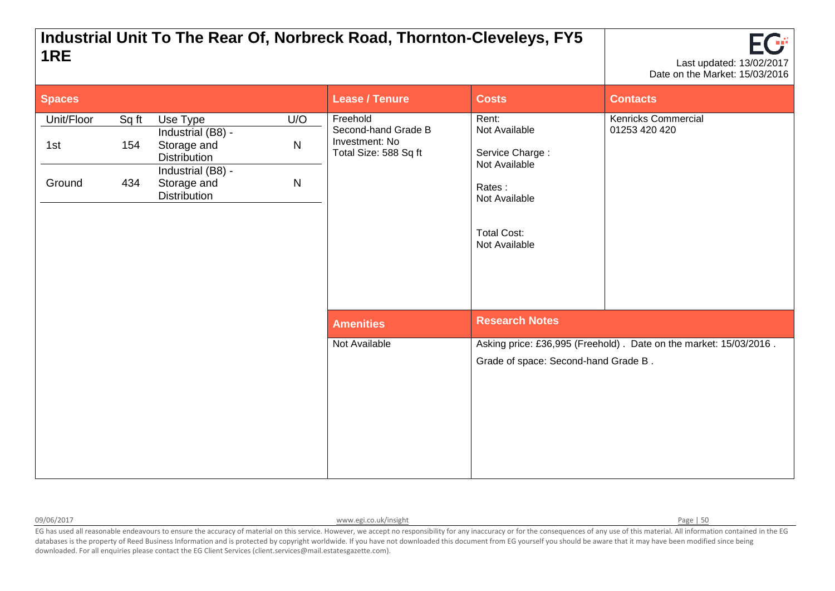## **Industrial Unit To The Rear Of, Norbreck Road, Thornton-Cleveleys, FY5 1RE** Last updated: 13/02/2017



| <b>Spaces</b>               |                     |                                                                                                                                                                    | <b>Lease / Tenure</b>                                                      | <b>Costs</b>                                                                                                                 | <b>Contacts</b>                                                   |
|-----------------------------|---------------------|--------------------------------------------------------------------------------------------------------------------------------------------------------------------|----------------------------------------------------------------------------|------------------------------------------------------------------------------------------------------------------------------|-------------------------------------------------------------------|
| Unit/Floor<br>1st<br>Ground | Sq ft<br>154<br>434 | Use Type<br>U/O<br>Industrial (B8) -<br>${\sf N}$<br>Storage and<br><b>Distribution</b><br>Industrial (B8) -<br>$\mathsf{N}$<br>Storage and<br><b>Distribution</b> | Freehold<br>Second-hand Grade B<br>Investment: No<br>Total Size: 588 Sq ft | Rent:<br>Not Available<br>Service Charge:<br>Not Available<br>Rates:<br>Not Available<br><b>Total Cost:</b><br>Not Available | <b>Kenricks Commercial</b><br>01253 420 420                       |
|                             |                     |                                                                                                                                                                    | <b>Amenities</b>                                                           | <b>Research Notes</b>                                                                                                        |                                                                   |
|                             |                     |                                                                                                                                                                    | Not Available                                                              | Grade of space: Second-hand Grade B.                                                                                         | Asking price: £36,995 (Freehold). Date on the market: 15/03/2016. |

09/06/2017 **[www.egi.co.uk/insight](http://www.egi.co.uk/insight) Page | 50**